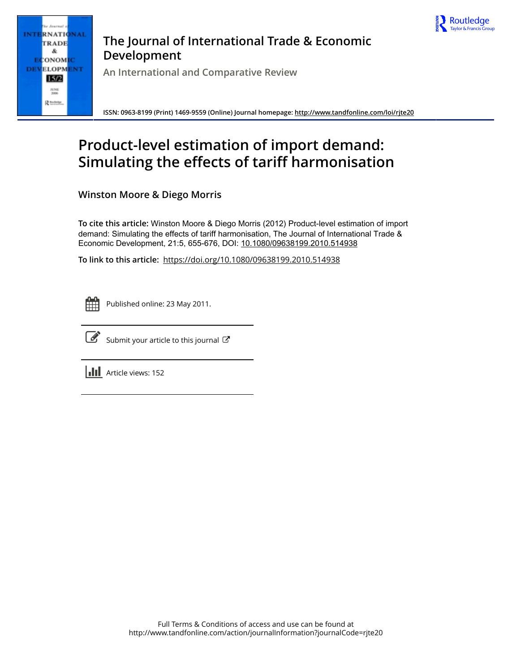

**INTERNATIONAL** TRADE & **ECONOMIC DEVELOPMENT**  $15/2$ **JUNE**<br>2006 Rtmese

## **The Journal of International Trade & Economic Development**

**An International and Comparative Review**

**ISSN: 0963-8199 (Print) 1469-9559 (Online) Journal homepage:<http://www.tandfonline.com/loi/rjte20>**

# **Product-level estimation of import demand: Simulating the effects of tariff harmonisation**

**Winston Moore & Diego Morris**

**To cite this article:** Winston Moore & Diego Morris (2012) Product-level estimation of import demand: Simulating the effects of tariff harmonisation, The Journal of International Trade & Economic Development, 21:5, 655-676, DOI: [10.1080/09638199.2010.514938](http://www.tandfonline.com/action/showCitFormats?doi=10.1080/09638199.2010.514938)

**To link to this article:** <https://doi.org/10.1080/09638199.2010.514938>

|  | - |  |
|--|---|--|
|  |   |  |
|  |   |  |
|  |   |  |

Published online: 23 May 2011.



 $\overrightarrow{S}$  [Submit your article to this journal](http://www.tandfonline.com/action/authorSubmission?journalCode=rjte20&show=instructions)  $G$ 

**III** Article views: 152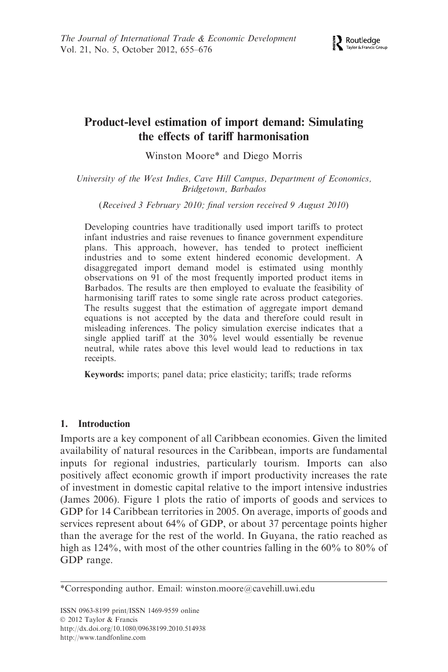

## Product-level estimation of import demand: Simulating the effects of tariff harmonisation

Winston Moore\* and Diego Morris

University of the West Indies, Cave Hill Campus, Department of Economics, Bridgetown, Barbados

(Received 3 February 2010; final version received 9 August 2010)

Developing countries have traditionally used import tariffs to protect infant industries and raise revenues to finance government expenditure plans. This approach, however, has tended to protect inefficient industries and to some extent hindered economic development. A disaggregated import demand model is estimated using monthly observations on 91 of the most frequently imported product items in Barbados. The results are then employed to evaluate the feasibility of harmonising tariff rates to some single rate across product categories. The results suggest that the estimation of aggregate import demand equations is not accepted by the data and therefore could result in misleading inferences. The policy simulation exercise indicates that a single applied tariff at the 30% level would essentially be revenue neutral, while rates above this level would lead to reductions in tax receipts.

Keywords: imports; panel data; price elasticity; tariffs; trade reforms

## 1. Introduction

Imports are a key component of all Caribbean economies. Given the limited availability of natural resources in the Caribbean, imports are fundamental inputs for regional industries, particularly tourism. Imports can also positively affect economic growth if import productivity increases the rate of investment in domestic capital relative to the import intensive industries (James 2006). Figure 1 plots the ratio of imports of goods and services to GDP for 14 Caribbean territories in 2005. On average, imports of goods and services represent about 64% of GDP, or about 37 percentage points higher than the average for the rest of the world. In Guyana, the ratio reached as high as 124%, with most of the other countries falling in the 60% to 80% of GDP range.

<sup>\*</sup>Corresponding author. Email: winston.moore@cavehill.uwi.edu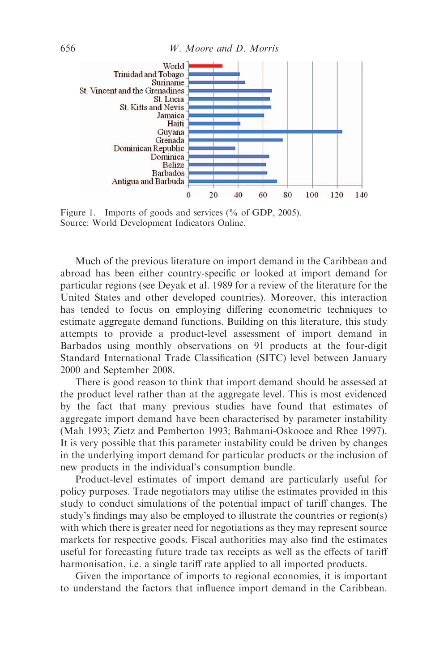

Figure 1. Imports of goods and services (% of GDP, 2005). Source: World Development Indicators Online.

Much of the previous literature on import demand in the Caribbean and abroad has been either country-specific or looked at import demand for particular regions (see Deyak et al. 1989 for a review of the literature for the United States and other developed countries). Moreover, this interaction has tended to focus on employing differing econometric techniques to estimate aggregate demand functions. Building on this literature, this study attempts to provide a product-level assessment of import demand in Barbados using monthly observations on 91 products at the four-digit Standard International Trade Classification (SITC) level between January 2000 and September 2008.

There is good reason to think that import demand should be assessed at the product level rather than at the aggregate level. This is most evidenced by the fact that many previous studies have found that estimates of aggregate import demand have been characterised by parameter instability (Mah 1993; Zietz and Pemberton 1993; Bahmani-Oskooee and Rhee 1997). It is very possible that this parameter instability could be driven by changes in the underlying import demand for particular products or the inclusion of new products in the individual's consumption bundle.

Product-level estimates of import demand are particularly useful for policy purposes. Trade negotiators may utilise the estimates provided in this study to conduct simulations of the potential impact of tariff changes. The study's findings may also be employed to illustrate the countries or region(s) with which there is greater need for negotiations as they may represent source markets for respective goods. Fiscal authorities may also find the estimates useful for forecasting future trade tax receipts as well as the effects of tariff harmonisation, i.e. a single tariff rate applied to all imported products.

Given the importance of imports to regional economies, it is important to understand the factors that influence import demand in the Caribbean.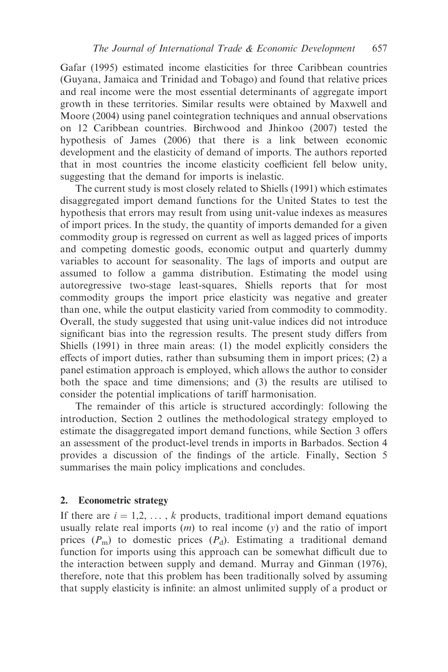Gafar (1995) estimated income elasticities for three Caribbean countries (Guyana, Jamaica and Trinidad and Tobago) and found that relative prices and real income were the most essential determinants of aggregate import growth in these territories. Similar results were obtained by Maxwell and Moore (2004) using panel cointegration techniques and annual observations on 12 Caribbean countries. Birchwood and Jhinkoo (2007) tested the hypothesis of James (2006) that there is a link between economic development and the elasticity of demand of imports. The authors reported that in most countries the income elasticity coefficient fell below unity, suggesting that the demand for imports is inelastic.

The current study is most closely related to Shiells (1991) which estimates disaggregated import demand functions for the United States to test the hypothesis that errors may result from using unit-value indexes as measures of import prices. In the study, the quantity of imports demanded for a given commodity group is regressed on current as well as lagged prices of imports and competing domestic goods, economic output and quarterly dummy variables to account for seasonality. The lags of imports and output are assumed to follow a gamma distribution. Estimating the model using autoregressive two-stage least-squares, Shiells reports that for most commodity groups the import price elasticity was negative and greater than one, while the output elasticity varied from commodity to commodity. Overall, the study suggested that using unit-value indices did not introduce significant bias into the regression results. The present study differs from Shiells (1991) in three main areas: (1) the model explicitly considers the effects of import duties, rather than subsuming them in import prices; (2) a panel estimation approach is employed, which allows the author to consider both the space and time dimensions; and (3) the results are utilised to consider the potential implications of tariff harmonisation.

The remainder of this article is structured accordingly: following the introduction, Section 2 outlines the methodological strategy employed to estimate the disaggregated import demand functions, while Section 3 offers an assessment of the product-level trends in imports in Barbados. Section 4 provides a discussion of the findings of the article. Finally, Section 5 summarises the main policy implications and concludes.

#### 2. Econometric strategy

If there are  $i = 1,2, \ldots, k$  products, traditional import demand equations usually relate real imports  $(m)$  to real income  $(y)$  and the ratio of import prices  $(P_m)$  to domestic prices  $(P_d)$ . Estimating a traditional demand function for imports using this approach can be somewhat difficult due to the interaction between supply and demand. Murray and Ginman (1976), therefore, note that this problem has been traditionally solved by assuming that supply elasticity is infinite: an almost unlimited supply of a product or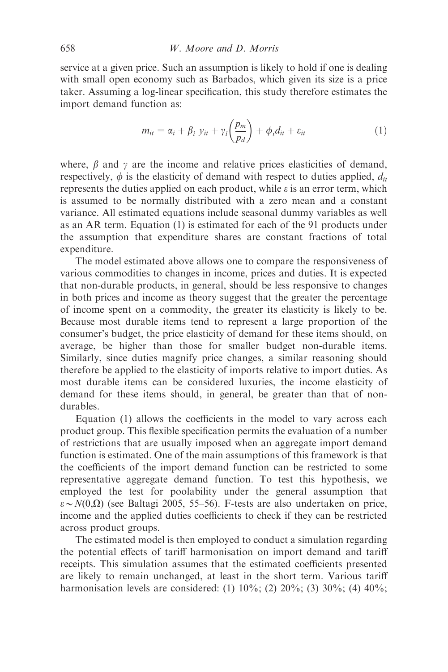service at a given price. Such an assumption is likely to hold if one is dealing with small open economy such as Barbados, which given its size is a price taker. Assuming a log-linear specification, this study therefore estimates the import demand function as:

$$
m_{it} = \alpha_i + \beta_i \ y_{it} + \gamma_i \left(\frac{p_m}{p_d}\right) + \phi_i d_{it} + \varepsilon_{it} \tag{1}
$$

where,  $\beta$  and  $\gamma$  are the income and relative prices elasticities of demand, respectively,  $\phi$  is the elasticity of demand with respect to duties applied,  $d_{it}$ represents the duties applied on each product, while  $\varepsilon$  is an error term, which is assumed to be normally distributed with a zero mean and a constant variance. All estimated equations include seasonal dummy variables as well as an AR term. Equation (1) is estimated for each of the 91 products under the assumption that expenditure shares are constant fractions of total expenditure.

The model estimated above allows one to compare the responsiveness of various commodities to changes in income, prices and duties. It is expected that non-durable products, in general, should be less responsive to changes in both prices and income as theory suggest that the greater the percentage of income spent on a commodity, the greater its elasticity is likely to be. Because most durable items tend to represent a large proportion of the consumer's budget, the price elasticity of demand for these items should, on average, be higher than those for smaller budget non-durable items. Similarly, since duties magnify price changes, a similar reasoning should therefore be applied to the elasticity of imports relative to import duties. As most durable items can be considered luxuries, the income elasticity of demand for these items should, in general, be greater than that of nondurables.

Equation (1) allows the coefficients in the model to vary across each product group. This flexible specification permits the evaluation of a number of restrictions that are usually imposed when an aggregate import demand function is estimated. One of the main assumptions of this framework is that the coefficients of the import demand function can be restricted to some representative aggregate demand function. To test this hypothesis, we employed the test for poolability under the general assumption that  $\varepsilon \sim N(0,\Omega)$  (see Baltagi 2005, 55–56). F-tests are also undertaken on price, income and the applied duties coefficients to check if they can be restricted across product groups.

The estimated model is then employed to conduct a simulation regarding the potential effects of tariff harmonisation on import demand and tariff receipts. This simulation assumes that the estimated coefficients presented are likely to remain unchanged, at least in the short term. Various tariff harmonisation levels are considered: (1) 10%; (2) 20%; (3) 30%; (4) 40%;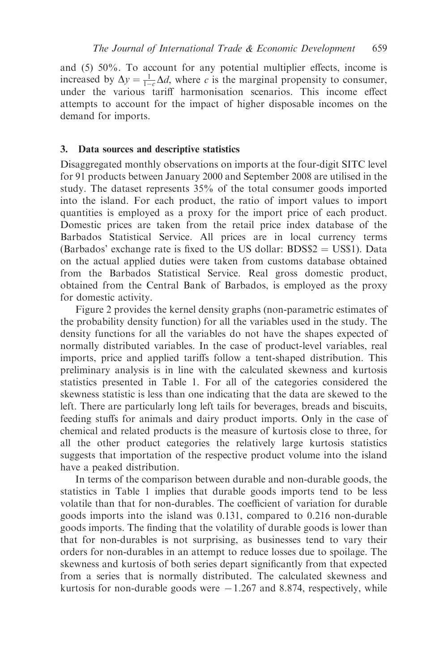and (5) 50%. To account for any potential multiplier effects, income is increased by  $\Delta y = \frac{1}{1-c} \Delta d$ , where c is the marginal propensity to consumer, under the various tariff harmonisation scenarios. This income effect attempts to account for the impact of higher disposable incomes on the demand for imports.

#### 3. Data sources and descriptive statistics

Disaggregated monthly observations on imports at the four-digit SITC level for 91 products between January 2000 and September 2008 are utilised in the study. The dataset represents 35% of the total consumer goods imported into the island. For each product, the ratio of import values to import quantities is employed as a proxy for the import price of each product. Domestic prices are taken from the retail price index database of the Barbados Statistical Service. All prices are in local currency terms (Barbados' exchange rate is fixed to the US dollar:  $BDS$2 = US$1$ ). Data on the actual applied duties were taken from customs database obtained from the Barbados Statistical Service. Real gross domestic product, obtained from the Central Bank of Barbados, is employed as the proxy for domestic activity.

Figure 2 provides the kernel density graphs (non-parametric estimates of the probability density function) for all the variables used in the study. The density functions for all the variables do not have the shapes expected of normally distributed variables. In the case of product-level variables, real imports, price and applied tariffs follow a tent-shaped distribution. This preliminary analysis is in line with the calculated skewness and kurtosis statistics presented in Table 1. For all of the categories considered the skewness statistic is less than one indicating that the data are skewed to the left. There are particularly long left tails for beverages, breads and biscuits, feeding stuffs for animals and dairy product imports. Only in the case of chemical and related products is the measure of kurtosis close to three, for all the other product categories the relatively large kurtosis statistics suggests that importation of the respective product volume into the island have a peaked distribution.

In terms of the comparison between durable and non-durable goods, the statistics in Table 1 implies that durable goods imports tend to be less volatile than that for non-durables. The coefficient of variation for durable goods imports into the island was 0.131, compared to 0.216 non-durable goods imports. The finding that the volatility of durable goods is lower than that for non-durables is not surprising, as businesses tend to vary their orders for non-durables in an attempt to reduce losses due to spoilage. The skewness and kurtosis of both series depart significantly from that expected from a series that is normally distributed. The calculated skewness and kurtosis for non-durable goods were  $-1.267$  and 8.874, respectively, while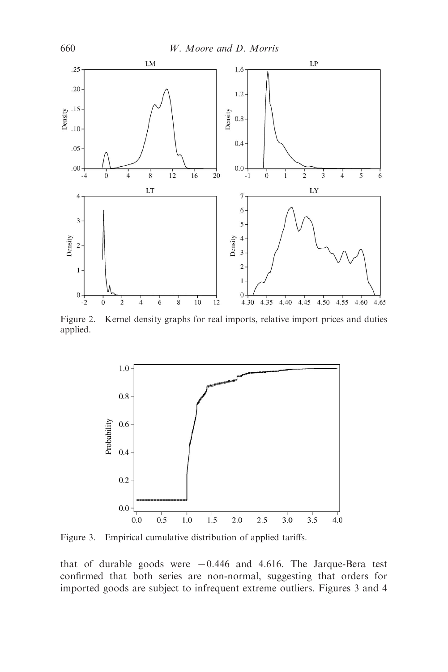



Figure 2. Kernel density graphs for real imports, relative import prices and duties applied.



Figure 3. Empirical cumulative distribution of applied tariffs.

that of durable goods were  $-0.446$  and 4.616. The Jarque-Bera test confirmed that both series are non-normal, suggesting that orders for imported goods are subject to infrequent extreme outliers. Figures 3 and 4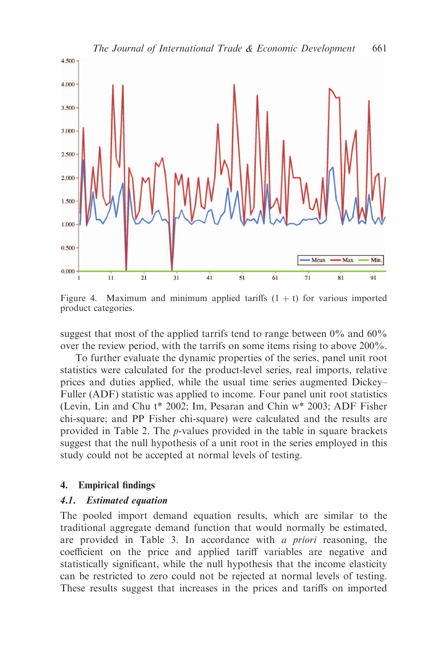

Figure 4. Maximum and minimum applied tariffs  $(1 + t)$  for various imported product categories.

suggest that most of the applied tarrifs tend to range between  $0\%$  and  $60\%$ over the review period, with the tarrifs on some items rising to above 200%.

To further evaluate the dynamic properties of the series, panel unit root statistics were calculated for the product-level series, real imports, relative prices and duties applied, while the usual time series augmented Dickey– Fuller (ADF) statistic was applied to income. Four panel unit root statistics (Levin, Lin and Chu t\* 2002; Im, Pesaran and Chin w\* 2003; ADF Fisher chi-square; and PP Fisher chi-square) were calculated and the results are provided in Table 2. The p-values provided in the table in square brackets suggest that the null hypothesis of a unit root in the series employed in this study could not be accepted at normal levels of testing.

### 4. Empirical findings

#### 4.1. Estimated equation

The pooled import demand equation results, which are similar to the traditional aggregate demand function that would normally be estimated, are provided in Table 3. In accordance with a priori reasoning, the coefficient on the price and applied tariff variables are negative and statistically significant, while the null hypothesis that the income elasticity can be restricted to zero could not be rejected at normal levels of testing. These results suggest that increases in the prices and tariffs on imported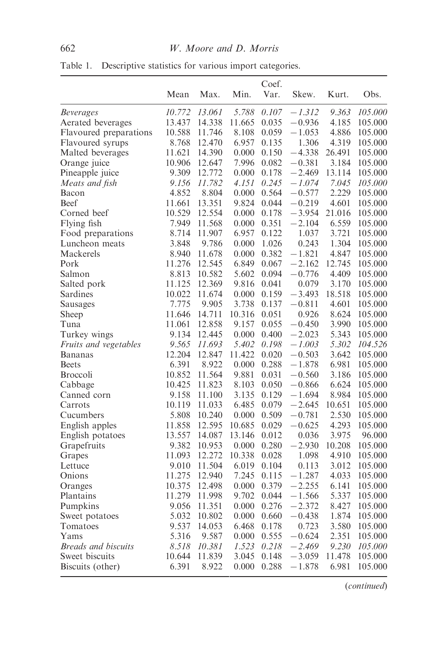| Min.<br>Mean<br>Max.<br>Var.<br>Skew.<br>Kurt.<br>Obs.<br>13.061<br>5.788<br>9.363<br>10.772<br>0.107<br>$-1.312$<br>105.000<br><b>Beverages</b><br>Aerated beverages<br>13.437<br>14.338<br>11.665<br>0.035<br>$-0.936$<br>4.185<br>105.000<br>Flavoured preparations<br>10.588<br>11.746<br>8.108<br>0.059<br>$-1.053$<br>4.886<br>105.000<br>4.319<br>Flavoured syrups<br>8.768<br>12.470<br>6.957<br>0.135<br>1.306<br>105.000<br>11.621<br>14.390<br>0.000<br>0.150<br>$-4.338$<br>26.491<br>105.000<br>Malted beverages<br>7.996<br>Orange juice<br>10.906<br>12.647<br>0.082<br>$-0.381$<br>3.184<br>105.000<br>Pineapple juice<br>9.309<br>12.772<br>0.000<br>0.178<br>$-2.469$<br>13.114<br>105.000<br>Meats and fish<br>9.156<br>11.782<br>4.151<br>0.245<br>$-1.074$<br>7.045<br>105.000<br>2.229<br>4.852<br>8.804<br>0.000<br>0.564<br>$-0.577$<br>105.000<br>Bacon<br><b>Beef</b><br>11.661<br>13.351<br>9.824<br>0.044<br>$-0.219$<br>4.601<br>105.000<br>Corned beef<br>10.529<br>12.554<br>0.000<br>0.178<br>$-3.954$<br>21.016<br>105.000<br>Flying fish<br>7.949<br>11.568<br>0.000<br>0.351<br>$-2.104$<br>6.559<br>105.000<br>8.714<br>3.721<br>Food preparations<br>11.907<br>6.957<br>0.122<br>1.037<br>105.000<br>3.848<br>9.786<br>0.243<br>1.304<br>Luncheon meats<br>0.000<br>1.026<br>105.000<br>Mackerels<br>8.940<br>11.678<br>0.000<br>0.382<br>$-1.821$<br>4.847<br>105.000<br>Pork<br>11.276<br>12.545<br>6.849<br>$-2.162$<br>12.745<br>0.067<br>105.000<br>$-0.776$<br>Salmon<br>8.813<br>10.582<br>5.602<br>0.094<br>4.409<br>105.000<br>11.125<br>9.816<br>3.170<br>105.000<br>Salted pork<br>12.369<br>0.041<br>0.079<br>Sardines<br>10.022<br>11.674<br>18.518<br>0.000<br>0.159<br>$-3.493$<br>105.000<br>7.775<br>9.905<br>3.738<br>4.601<br>Sausages<br>0.137<br>$-0.811$<br>105.000<br>14.711<br>10.316<br>8.624<br>Sheep<br>11.646<br>0.051<br>0.926<br>105.000<br>3.990<br>11.061<br>12.858<br>9.157<br>0.055<br>$-0.450$<br>105.000<br>Tuna<br>Turkey wings<br>9.134<br>12.445<br>0.000<br>0.400<br>$-2.023$<br>5.343<br>105.000<br>9.565<br>5.302<br>104.526<br><i>Fruits and vegetables</i><br>11.693<br>5.402<br>0.198<br>$-1.003$<br>12.204<br>12.847<br>11.422<br>3.642<br>0.020<br>$-0.503$<br>105.000<br>Bananas<br>6.391<br>8.922<br>0.000<br>0.288<br>$-1.878$<br>6.981<br>105.000<br><b>Beets</b><br>9.881<br>10.852<br>11.564<br>0.031<br>$-0.560$<br>3.186<br>105.000<br><b>Broccoli</b><br>10.425<br>Cabbage<br>11.823<br>8.103<br>0.050<br>$-0.866$<br>6.624<br>105.000<br>9.158<br>Canned corn<br>11.100<br>3.135<br>0.129<br>$-1.694$<br>8.984<br>105.000<br>Carrots<br>10.119<br>11.033<br>6.485<br>0.079<br>$-2.645$<br>10.651<br>105.000<br>2.530<br>5.808<br>10.240<br>0.509<br>$-0.781$<br>Cucumbers<br>0.000<br>105.000<br>English apples<br>12.595<br>4.293<br>11.858<br>10.685<br>0.029<br>$-0.625$<br>105.000<br>3.975<br>English potatoes<br>13.557<br>14.087<br>13.146<br>0.012<br>0.036<br>96.000<br>9.382<br>0.280<br>$-2.930$<br>10.208<br>Grapefruits<br>10.953<br>0.000<br>105.000<br>11.093<br>10.338<br>4.910<br>Grapes<br>12.272<br>0.028<br>1.098<br>105.000<br>9.010<br>11.504<br>6.019<br>0.104<br>0.113<br>3.012<br>105.000<br>11.275<br>12.940<br>7.245<br>0.115<br>$-1.287$<br>4.033<br>Onions<br>105.000<br>10.375<br>12.498<br>0.379<br>$-2.255$<br>6.141<br>0.000<br>105.000<br>Oranges<br>11.279<br>11.998<br>9.702<br>$-1.566$<br>5.337<br>0.044<br>105.000<br>Plantains<br>9.056<br>11.351<br>0.000<br>0.276<br>$-2.372$<br>8.427<br>Pumpkins<br>105.000<br>5.032<br>0.000<br>0.660<br>$-0.438$<br>1.874<br>105.000<br>Sweet potatoes<br>10.802<br>9.537<br>14.053<br>0.723<br>3.580<br>Tomatoes<br>6.468<br>0.178<br>105.000<br>2.351<br>Yams<br>5.316<br>9.587<br>0.000<br>0.555<br>$-0.624$<br>105.000<br><b>Breads</b> and biscuits<br>8.518<br>10.381<br>1.523<br>0.218<br>$-2.469$<br>9.230<br>105.000<br>Sweet biscuits<br>11.478<br>10.644<br>11.839<br>3.045<br>0.148<br>$-3.059$<br>105.000<br>6.391<br>8.922<br>0.288<br>6.981<br>Biscuits (other)<br>0.000<br>$-1.878$<br>105.000 |         |  | Coef. |  |  |
|--------------------------------------------------------------------------------------------------------------------------------------------------------------------------------------------------------------------------------------------------------------------------------------------------------------------------------------------------------------------------------------------------------------------------------------------------------------------------------------------------------------------------------------------------------------------------------------------------------------------------------------------------------------------------------------------------------------------------------------------------------------------------------------------------------------------------------------------------------------------------------------------------------------------------------------------------------------------------------------------------------------------------------------------------------------------------------------------------------------------------------------------------------------------------------------------------------------------------------------------------------------------------------------------------------------------------------------------------------------------------------------------------------------------------------------------------------------------------------------------------------------------------------------------------------------------------------------------------------------------------------------------------------------------------------------------------------------------------------------------------------------------------------------------------------------------------------------------------------------------------------------------------------------------------------------------------------------------------------------------------------------------------------------------------------------------------------------------------------------------------------------------------------------------------------------------------------------------------------------------------------------------------------------------------------------------------------------------------------------------------------------------------------------------------------------------------------------------------------------------------------------------------------------------------------------------------------------------------------------------------------------------------------------------------------------------------------------------------------------------------------------------------------------------------------------------------------------------------------------------------------------------------------------------------------------------------------------------------------------------------------------------------------------------------------------------------------------------------------------------------------------------------------------------------------------------------------------------------------------------------------------------------------------------------------------------------------------------------------------------------------------------------------------------------------------------------------------------------------------------------------------------------------------------------------------------------------------------------------------------------------------------------------------------------------------------------------------------------------------------------------------------------------------------------------------------------------------------------------------------------------------------------------------------------------------------------------------------------------------------------------------------------------------------------------------------------------------------|---------|--|-------|--|--|
|                                                                                                                                                                                                                                                                                                                                                                                                                                                                                                                                                                                                                                                                                                                                                                                                                                                                                                                                                                                                                                                                                                                                                                                                                                                                                                                                                                                                                                                                                                                                                                                                                                                                                                                                                                                                                                                                                                                                                                                                                                                                                                                                                                                                                                                                                                                                                                                                                                                                                                                                                                                                                                                                                                                                                                                                                                                                                                                                                                                                                                                                                                                                                                                                                                                                                                                                                                                                                                                                                                                                                                                                                                                                                                                                                                                                                                                                                                                                                                                                                                                                                            |         |  |       |  |  |
|                                                                                                                                                                                                                                                                                                                                                                                                                                                                                                                                                                                                                                                                                                                                                                                                                                                                                                                                                                                                                                                                                                                                                                                                                                                                                                                                                                                                                                                                                                                                                                                                                                                                                                                                                                                                                                                                                                                                                                                                                                                                                                                                                                                                                                                                                                                                                                                                                                                                                                                                                                                                                                                                                                                                                                                                                                                                                                                                                                                                                                                                                                                                                                                                                                                                                                                                                                                                                                                                                                                                                                                                                                                                                                                                                                                                                                                                                                                                                                                                                                                                                            |         |  |       |  |  |
|                                                                                                                                                                                                                                                                                                                                                                                                                                                                                                                                                                                                                                                                                                                                                                                                                                                                                                                                                                                                                                                                                                                                                                                                                                                                                                                                                                                                                                                                                                                                                                                                                                                                                                                                                                                                                                                                                                                                                                                                                                                                                                                                                                                                                                                                                                                                                                                                                                                                                                                                                                                                                                                                                                                                                                                                                                                                                                                                                                                                                                                                                                                                                                                                                                                                                                                                                                                                                                                                                                                                                                                                                                                                                                                                                                                                                                                                                                                                                                                                                                                                                            |         |  |       |  |  |
|                                                                                                                                                                                                                                                                                                                                                                                                                                                                                                                                                                                                                                                                                                                                                                                                                                                                                                                                                                                                                                                                                                                                                                                                                                                                                                                                                                                                                                                                                                                                                                                                                                                                                                                                                                                                                                                                                                                                                                                                                                                                                                                                                                                                                                                                                                                                                                                                                                                                                                                                                                                                                                                                                                                                                                                                                                                                                                                                                                                                                                                                                                                                                                                                                                                                                                                                                                                                                                                                                                                                                                                                                                                                                                                                                                                                                                                                                                                                                                                                                                                                                            |         |  |       |  |  |
|                                                                                                                                                                                                                                                                                                                                                                                                                                                                                                                                                                                                                                                                                                                                                                                                                                                                                                                                                                                                                                                                                                                                                                                                                                                                                                                                                                                                                                                                                                                                                                                                                                                                                                                                                                                                                                                                                                                                                                                                                                                                                                                                                                                                                                                                                                                                                                                                                                                                                                                                                                                                                                                                                                                                                                                                                                                                                                                                                                                                                                                                                                                                                                                                                                                                                                                                                                                                                                                                                                                                                                                                                                                                                                                                                                                                                                                                                                                                                                                                                                                                                            |         |  |       |  |  |
|                                                                                                                                                                                                                                                                                                                                                                                                                                                                                                                                                                                                                                                                                                                                                                                                                                                                                                                                                                                                                                                                                                                                                                                                                                                                                                                                                                                                                                                                                                                                                                                                                                                                                                                                                                                                                                                                                                                                                                                                                                                                                                                                                                                                                                                                                                                                                                                                                                                                                                                                                                                                                                                                                                                                                                                                                                                                                                                                                                                                                                                                                                                                                                                                                                                                                                                                                                                                                                                                                                                                                                                                                                                                                                                                                                                                                                                                                                                                                                                                                                                                                            |         |  |       |  |  |
|                                                                                                                                                                                                                                                                                                                                                                                                                                                                                                                                                                                                                                                                                                                                                                                                                                                                                                                                                                                                                                                                                                                                                                                                                                                                                                                                                                                                                                                                                                                                                                                                                                                                                                                                                                                                                                                                                                                                                                                                                                                                                                                                                                                                                                                                                                                                                                                                                                                                                                                                                                                                                                                                                                                                                                                                                                                                                                                                                                                                                                                                                                                                                                                                                                                                                                                                                                                                                                                                                                                                                                                                                                                                                                                                                                                                                                                                                                                                                                                                                                                                                            |         |  |       |  |  |
|                                                                                                                                                                                                                                                                                                                                                                                                                                                                                                                                                                                                                                                                                                                                                                                                                                                                                                                                                                                                                                                                                                                                                                                                                                                                                                                                                                                                                                                                                                                                                                                                                                                                                                                                                                                                                                                                                                                                                                                                                                                                                                                                                                                                                                                                                                                                                                                                                                                                                                                                                                                                                                                                                                                                                                                                                                                                                                                                                                                                                                                                                                                                                                                                                                                                                                                                                                                                                                                                                                                                                                                                                                                                                                                                                                                                                                                                                                                                                                                                                                                                                            |         |  |       |  |  |
|                                                                                                                                                                                                                                                                                                                                                                                                                                                                                                                                                                                                                                                                                                                                                                                                                                                                                                                                                                                                                                                                                                                                                                                                                                                                                                                                                                                                                                                                                                                                                                                                                                                                                                                                                                                                                                                                                                                                                                                                                                                                                                                                                                                                                                                                                                                                                                                                                                                                                                                                                                                                                                                                                                                                                                                                                                                                                                                                                                                                                                                                                                                                                                                                                                                                                                                                                                                                                                                                                                                                                                                                                                                                                                                                                                                                                                                                                                                                                                                                                                                                                            |         |  |       |  |  |
|                                                                                                                                                                                                                                                                                                                                                                                                                                                                                                                                                                                                                                                                                                                                                                                                                                                                                                                                                                                                                                                                                                                                                                                                                                                                                                                                                                                                                                                                                                                                                                                                                                                                                                                                                                                                                                                                                                                                                                                                                                                                                                                                                                                                                                                                                                                                                                                                                                                                                                                                                                                                                                                                                                                                                                                                                                                                                                                                                                                                                                                                                                                                                                                                                                                                                                                                                                                                                                                                                                                                                                                                                                                                                                                                                                                                                                                                                                                                                                                                                                                                                            |         |  |       |  |  |
|                                                                                                                                                                                                                                                                                                                                                                                                                                                                                                                                                                                                                                                                                                                                                                                                                                                                                                                                                                                                                                                                                                                                                                                                                                                                                                                                                                                                                                                                                                                                                                                                                                                                                                                                                                                                                                                                                                                                                                                                                                                                                                                                                                                                                                                                                                                                                                                                                                                                                                                                                                                                                                                                                                                                                                                                                                                                                                                                                                                                                                                                                                                                                                                                                                                                                                                                                                                                                                                                                                                                                                                                                                                                                                                                                                                                                                                                                                                                                                                                                                                                                            |         |  |       |  |  |
|                                                                                                                                                                                                                                                                                                                                                                                                                                                                                                                                                                                                                                                                                                                                                                                                                                                                                                                                                                                                                                                                                                                                                                                                                                                                                                                                                                                                                                                                                                                                                                                                                                                                                                                                                                                                                                                                                                                                                                                                                                                                                                                                                                                                                                                                                                                                                                                                                                                                                                                                                                                                                                                                                                                                                                                                                                                                                                                                                                                                                                                                                                                                                                                                                                                                                                                                                                                                                                                                                                                                                                                                                                                                                                                                                                                                                                                                                                                                                                                                                                                                                            |         |  |       |  |  |
|                                                                                                                                                                                                                                                                                                                                                                                                                                                                                                                                                                                                                                                                                                                                                                                                                                                                                                                                                                                                                                                                                                                                                                                                                                                                                                                                                                                                                                                                                                                                                                                                                                                                                                                                                                                                                                                                                                                                                                                                                                                                                                                                                                                                                                                                                                                                                                                                                                                                                                                                                                                                                                                                                                                                                                                                                                                                                                                                                                                                                                                                                                                                                                                                                                                                                                                                                                                                                                                                                                                                                                                                                                                                                                                                                                                                                                                                                                                                                                                                                                                                                            |         |  |       |  |  |
|                                                                                                                                                                                                                                                                                                                                                                                                                                                                                                                                                                                                                                                                                                                                                                                                                                                                                                                                                                                                                                                                                                                                                                                                                                                                                                                                                                                                                                                                                                                                                                                                                                                                                                                                                                                                                                                                                                                                                                                                                                                                                                                                                                                                                                                                                                                                                                                                                                                                                                                                                                                                                                                                                                                                                                                                                                                                                                                                                                                                                                                                                                                                                                                                                                                                                                                                                                                                                                                                                                                                                                                                                                                                                                                                                                                                                                                                                                                                                                                                                                                                                            |         |  |       |  |  |
|                                                                                                                                                                                                                                                                                                                                                                                                                                                                                                                                                                                                                                                                                                                                                                                                                                                                                                                                                                                                                                                                                                                                                                                                                                                                                                                                                                                                                                                                                                                                                                                                                                                                                                                                                                                                                                                                                                                                                                                                                                                                                                                                                                                                                                                                                                                                                                                                                                                                                                                                                                                                                                                                                                                                                                                                                                                                                                                                                                                                                                                                                                                                                                                                                                                                                                                                                                                                                                                                                                                                                                                                                                                                                                                                                                                                                                                                                                                                                                                                                                                                                            |         |  |       |  |  |
|                                                                                                                                                                                                                                                                                                                                                                                                                                                                                                                                                                                                                                                                                                                                                                                                                                                                                                                                                                                                                                                                                                                                                                                                                                                                                                                                                                                                                                                                                                                                                                                                                                                                                                                                                                                                                                                                                                                                                                                                                                                                                                                                                                                                                                                                                                                                                                                                                                                                                                                                                                                                                                                                                                                                                                                                                                                                                                                                                                                                                                                                                                                                                                                                                                                                                                                                                                                                                                                                                                                                                                                                                                                                                                                                                                                                                                                                                                                                                                                                                                                                                            |         |  |       |  |  |
|                                                                                                                                                                                                                                                                                                                                                                                                                                                                                                                                                                                                                                                                                                                                                                                                                                                                                                                                                                                                                                                                                                                                                                                                                                                                                                                                                                                                                                                                                                                                                                                                                                                                                                                                                                                                                                                                                                                                                                                                                                                                                                                                                                                                                                                                                                                                                                                                                                                                                                                                                                                                                                                                                                                                                                                                                                                                                                                                                                                                                                                                                                                                                                                                                                                                                                                                                                                                                                                                                                                                                                                                                                                                                                                                                                                                                                                                                                                                                                                                                                                                                            |         |  |       |  |  |
|                                                                                                                                                                                                                                                                                                                                                                                                                                                                                                                                                                                                                                                                                                                                                                                                                                                                                                                                                                                                                                                                                                                                                                                                                                                                                                                                                                                                                                                                                                                                                                                                                                                                                                                                                                                                                                                                                                                                                                                                                                                                                                                                                                                                                                                                                                                                                                                                                                                                                                                                                                                                                                                                                                                                                                                                                                                                                                                                                                                                                                                                                                                                                                                                                                                                                                                                                                                                                                                                                                                                                                                                                                                                                                                                                                                                                                                                                                                                                                                                                                                                                            |         |  |       |  |  |
|                                                                                                                                                                                                                                                                                                                                                                                                                                                                                                                                                                                                                                                                                                                                                                                                                                                                                                                                                                                                                                                                                                                                                                                                                                                                                                                                                                                                                                                                                                                                                                                                                                                                                                                                                                                                                                                                                                                                                                                                                                                                                                                                                                                                                                                                                                                                                                                                                                                                                                                                                                                                                                                                                                                                                                                                                                                                                                                                                                                                                                                                                                                                                                                                                                                                                                                                                                                                                                                                                                                                                                                                                                                                                                                                                                                                                                                                                                                                                                                                                                                                                            |         |  |       |  |  |
|                                                                                                                                                                                                                                                                                                                                                                                                                                                                                                                                                                                                                                                                                                                                                                                                                                                                                                                                                                                                                                                                                                                                                                                                                                                                                                                                                                                                                                                                                                                                                                                                                                                                                                                                                                                                                                                                                                                                                                                                                                                                                                                                                                                                                                                                                                                                                                                                                                                                                                                                                                                                                                                                                                                                                                                                                                                                                                                                                                                                                                                                                                                                                                                                                                                                                                                                                                                                                                                                                                                                                                                                                                                                                                                                                                                                                                                                                                                                                                                                                                                                                            |         |  |       |  |  |
|                                                                                                                                                                                                                                                                                                                                                                                                                                                                                                                                                                                                                                                                                                                                                                                                                                                                                                                                                                                                                                                                                                                                                                                                                                                                                                                                                                                                                                                                                                                                                                                                                                                                                                                                                                                                                                                                                                                                                                                                                                                                                                                                                                                                                                                                                                                                                                                                                                                                                                                                                                                                                                                                                                                                                                                                                                                                                                                                                                                                                                                                                                                                                                                                                                                                                                                                                                                                                                                                                                                                                                                                                                                                                                                                                                                                                                                                                                                                                                                                                                                                                            |         |  |       |  |  |
|                                                                                                                                                                                                                                                                                                                                                                                                                                                                                                                                                                                                                                                                                                                                                                                                                                                                                                                                                                                                                                                                                                                                                                                                                                                                                                                                                                                                                                                                                                                                                                                                                                                                                                                                                                                                                                                                                                                                                                                                                                                                                                                                                                                                                                                                                                                                                                                                                                                                                                                                                                                                                                                                                                                                                                                                                                                                                                                                                                                                                                                                                                                                                                                                                                                                                                                                                                                                                                                                                                                                                                                                                                                                                                                                                                                                                                                                                                                                                                                                                                                                                            |         |  |       |  |  |
|                                                                                                                                                                                                                                                                                                                                                                                                                                                                                                                                                                                                                                                                                                                                                                                                                                                                                                                                                                                                                                                                                                                                                                                                                                                                                                                                                                                                                                                                                                                                                                                                                                                                                                                                                                                                                                                                                                                                                                                                                                                                                                                                                                                                                                                                                                                                                                                                                                                                                                                                                                                                                                                                                                                                                                                                                                                                                                                                                                                                                                                                                                                                                                                                                                                                                                                                                                                                                                                                                                                                                                                                                                                                                                                                                                                                                                                                                                                                                                                                                                                                                            |         |  |       |  |  |
|                                                                                                                                                                                                                                                                                                                                                                                                                                                                                                                                                                                                                                                                                                                                                                                                                                                                                                                                                                                                                                                                                                                                                                                                                                                                                                                                                                                                                                                                                                                                                                                                                                                                                                                                                                                                                                                                                                                                                                                                                                                                                                                                                                                                                                                                                                                                                                                                                                                                                                                                                                                                                                                                                                                                                                                                                                                                                                                                                                                                                                                                                                                                                                                                                                                                                                                                                                                                                                                                                                                                                                                                                                                                                                                                                                                                                                                                                                                                                                                                                                                                                            |         |  |       |  |  |
|                                                                                                                                                                                                                                                                                                                                                                                                                                                                                                                                                                                                                                                                                                                                                                                                                                                                                                                                                                                                                                                                                                                                                                                                                                                                                                                                                                                                                                                                                                                                                                                                                                                                                                                                                                                                                                                                                                                                                                                                                                                                                                                                                                                                                                                                                                                                                                                                                                                                                                                                                                                                                                                                                                                                                                                                                                                                                                                                                                                                                                                                                                                                                                                                                                                                                                                                                                                                                                                                                                                                                                                                                                                                                                                                                                                                                                                                                                                                                                                                                                                                                            |         |  |       |  |  |
|                                                                                                                                                                                                                                                                                                                                                                                                                                                                                                                                                                                                                                                                                                                                                                                                                                                                                                                                                                                                                                                                                                                                                                                                                                                                                                                                                                                                                                                                                                                                                                                                                                                                                                                                                                                                                                                                                                                                                                                                                                                                                                                                                                                                                                                                                                                                                                                                                                                                                                                                                                                                                                                                                                                                                                                                                                                                                                                                                                                                                                                                                                                                                                                                                                                                                                                                                                                                                                                                                                                                                                                                                                                                                                                                                                                                                                                                                                                                                                                                                                                                                            |         |  |       |  |  |
|                                                                                                                                                                                                                                                                                                                                                                                                                                                                                                                                                                                                                                                                                                                                                                                                                                                                                                                                                                                                                                                                                                                                                                                                                                                                                                                                                                                                                                                                                                                                                                                                                                                                                                                                                                                                                                                                                                                                                                                                                                                                                                                                                                                                                                                                                                                                                                                                                                                                                                                                                                                                                                                                                                                                                                                                                                                                                                                                                                                                                                                                                                                                                                                                                                                                                                                                                                                                                                                                                                                                                                                                                                                                                                                                                                                                                                                                                                                                                                                                                                                                                            |         |  |       |  |  |
|                                                                                                                                                                                                                                                                                                                                                                                                                                                                                                                                                                                                                                                                                                                                                                                                                                                                                                                                                                                                                                                                                                                                                                                                                                                                                                                                                                                                                                                                                                                                                                                                                                                                                                                                                                                                                                                                                                                                                                                                                                                                                                                                                                                                                                                                                                                                                                                                                                                                                                                                                                                                                                                                                                                                                                                                                                                                                                                                                                                                                                                                                                                                                                                                                                                                                                                                                                                                                                                                                                                                                                                                                                                                                                                                                                                                                                                                                                                                                                                                                                                                                            |         |  |       |  |  |
|                                                                                                                                                                                                                                                                                                                                                                                                                                                                                                                                                                                                                                                                                                                                                                                                                                                                                                                                                                                                                                                                                                                                                                                                                                                                                                                                                                                                                                                                                                                                                                                                                                                                                                                                                                                                                                                                                                                                                                                                                                                                                                                                                                                                                                                                                                                                                                                                                                                                                                                                                                                                                                                                                                                                                                                                                                                                                                                                                                                                                                                                                                                                                                                                                                                                                                                                                                                                                                                                                                                                                                                                                                                                                                                                                                                                                                                                                                                                                                                                                                                                                            |         |  |       |  |  |
|                                                                                                                                                                                                                                                                                                                                                                                                                                                                                                                                                                                                                                                                                                                                                                                                                                                                                                                                                                                                                                                                                                                                                                                                                                                                                                                                                                                                                                                                                                                                                                                                                                                                                                                                                                                                                                                                                                                                                                                                                                                                                                                                                                                                                                                                                                                                                                                                                                                                                                                                                                                                                                                                                                                                                                                                                                                                                                                                                                                                                                                                                                                                                                                                                                                                                                                                                                                                                                                                                                                                                                                                                                                                                                                                                                                                                                                                                                                                                                                                                                                                                            |         |  |       |  |  |
|                                                                                                                                                                                                                                                                                                                                                                                                                                                                                                                                                                                                                                                                                                                                                                                                                                                                                                                                                                                                                                                                                                                                                                                                                                                                                                                                                                                                                                                                                                                                                                                                                                                                                                                                                                                                                                                                                                                                                                                                                                                                                                                                                                                                                                                                                                                                                                                                                                                                                                                                                                                                                                                                                                                                                                                                                                                                                                                                                                                                                                                                                                                                                                                                                                                                                                                                                                                                                                                                                                                                                                                                                                                                                                                                                                                                                                                                                                                                                                                                                                                                                            |         |  |       |  |  |
|                                                                                                                                                                                                                                                                                                                                                                                                                                                                                                                                                                                                                                                                                                                                                                                                                                                                                                                                                                                                                                                                                                                                                                                                                                                                                                                                                                                                                                                                                                                                                                                                                                                                                                                                                                                                                                                                                                                                                                                                                                                                                                                                                                                                                                                                                                                                                                                                                                                                                                                                                                                                                                                                                                                                                                                                                                                                                                                                                                                                                                                                                                                                                                                                                                                                                                                                                                                                                                                                                                                                                                                                                                                                                                                                                                                                                                                                                                                                                                                                                                                                                            |         |  |       |  |  |
|                                                                                                                                                                                                                                                                                                                                                                                                                                                                                                                                                                                                                                                                                                                                                                                                                                                                                                                                                                                                                                                                                                                                                                                                                                                                                                                                                                                                                                                                                                                                                                                                                                                                                                                                                                                                                                                                                                                                                                                                                                                                                                                                                                                                                                                                                                                                                                                                                                                                                                                                                                                                                                                                                                                                                                                                                                                                                                                                                                                                                                                                                                                                                                                                                                                                                                                                                                                                                                                                                                                                                                                                                                                                                                                                                                                                                                                                                                                                                                                                                                                                                            |         |  |       |  |  |
|                                                                                                                                                                                                                                                                                                                                                                                                                                                                                                                                                                                                                                                                                                                                                                                                                                                                                                                                                                                                                                                                                                                                                                                                                                                                                                                                                                                                                                                                                                                                                                                                                                                                                                                                                                                                                                                                                                                                                                                                                                                                                                                                                                                                                                                                                                                                                                                                                                                                                                                                                                                                                                                                                                                                                                                                                                                                                                                                                                                                                                                                                                                                                                                                                                                                                                                                                                                                                                                                                                                                                                                                                                                                                                                                                                                                                                                                                                                                                                                                                                                                                            |         |  |       |  |  |
|                                                                                                                                                                                                                                                                                                                                                                                                                                                                                                                                                                                                                                                                                                                                                                                                                                                                                                                                                                                                                                                                                                                                                                                                                                                                                                                                                                                                                                                                                                                                                                                                                                                                                                                                                                                                                                                                                                                                                                                                                                                                                                                                                                                                                                                                                                                                                                                                                                                                                                                                                                                                                                                                                                                                                                                                                                                                                                                                                                                                                                                                                                                                                                                                                                                                                                                                                                                                                                                                                                                                                                                                                                                                                                                                                                                                                                                                                                                                                                                                                                                                                            |         |  |       |  |  |
|                                                                                                                                                                                                                                                                                                                                                                                                                                                                                                                                                                                                                                                                                                                                                                                                                                                                                                                                                                                                                                                                                                                                                                                                                                                                                                                                                                                                                                                                                                                                                                                                                                                                                                                                                                                                                                                                                                                                                                                                                                                                                                                                                                                                                                                                                                                                                                                                                                                                                                                                                                                                                                                                                                                                                                                                                                                                                                                                                                                                                                                                                                                                                                                                                                                                                                                                                                                                                                                                                                                                                                                                                                                                                                                                                                                                                                                                                                                                                                                                                                                                                            |         |  |       |  |  |
|                                                                                                                                                                                                                                                                                                                                                                                                                                                                                                                                                                                                                                                                                                                                                                                                                                                                                                                                                                                                                                                                                                                                                                                                                                                                                                                                                                                                                                                                                                                                                                                                                                                                                                                                                                                                                                                                                                                                                                                                                                                                                                                                                                                                                                                                                                                                                                                                                                                                                                                                                                                                                                                                                                                                                                                                                                                                                                                                                                                                                                                                                                                                                                                                                                                                                                                                                                                                                                                                                                                                                                                                                                                                                                                                                                                                                                                                                                                                                                                                                                                                                            | Lettuce |  |       |  |  |
|                                                                                                                                                                                                                                                                                                                                                                                                                                                                                                                                                                                                                                                                                                                                                                                                                                                                                                                                                                                                                                                                                                                                                                                                                                                                                                                                                                                                                                                                                                                                                                                                                                                                                                                                                                                                                                                                                                                                                                                                                                                                                                                                                                                                                                                                                                                                                                                                                                                                                                                                                                                                                                                                                                                                                                                                                                                                                                                                                                                                                                                                                                                                                                                                                                                                                                                                                                                                                                                                                                                                                                                                                                                                                                                                                                                                                                                                                                                                                                                                                                                                                            |         |  |       |  |  |
|                                                                                                                                                                                                                                                                                                                                                                                                                                                                                                                                                                                                                                                                                                                                                                                                                                                                                                                                                                                                                                                                                                                                                                                                                                                                                                                                                                                                                                                                                                                                                                                                                                                                                                                                                                                                                                                                                                                                                                                                                                                                                                                                                                                                                                                                                                                                                                                                                                                                                                                                                                                                                                                                                                                                                                                                                                                                                                                                                                                                                                                                                                                                                                                                                                                                                                                                                                                                                                                                                                                                                                                                                                                                                                                                                                                                                                                                                                                                                                                                                                                                                            |         |  |       |  |  |
|                                                                                                                                                                                                                                                                                                                                                                                                                                                                                                                                                                                                                                                                                                                                                                                                                                                                                                                                                                                                                                                                                                                                                                                                                                                                                                                                                                                                                                                                                                                                                                                                                                                                                                                                                                                                                                                                                                                                                                                                                                                                                                                                                                                                                                                                                                                                                                                                                                                                                                                                                                                                                                                                                                                                                                                                                                                                                                                                                                                                                                                                                                                                                                                                                                                                                                                                                                                                                                                                                                                                                                                                                                                                                                                                                                                                                                                                                                                                                                                                                                                                                            |         |  |       |  |  |
|                                                                                                                                                                                                                                                                                                                                                                                                                                                                                                                                                                                                                                                                                                                                                                                                                                                                                                                                                                                                                                                                                                                                                                                                                                                                                                                                                                                                                                                                                                                                                                                                                                                                                                                                                                                                                                                                                                                                                                                                                                                                                                                                                                                                                                                                                                                                                                                                                                                                                                                                                                                                                                                                                                                                                                                                                                                                                                                                                                                                                                                                                                                                                                                                                                                                                                                                                                                                                                                                                                                                                                                                                                                                                                                                                                                                                                                                                                                                                                                                                                                                                            |         |  |       |  |  |
|                                                                                                                                                                                                                                                                                                                                                                                                                                                                                                                                                                                                                                                                                                                                                                                                                                                                                                                                                                                                                                                                                                                                                                                                                                                                                                                                                                                                                                                                                                                                                                                                                                                                                                                                                                                                                                                                                                                                                                                                                                                                                                                                                                                                                                                                                                                                                                                                                                                                                                                                                                                                                                                                                                                                                                                                                                                                                                                                                                                                                                                                                                                                                                                                                                                                                                                                                                                                                                                                                                                                                                                                                                                                                                                                                                                                                                                                                                                                                                                                                                                                                            |         |  |       |  |  |
|                                                                                                                                                                                                                                                                                                                                                                                                                                                                                                                                                                                                                                                                                                                                                                                                                                                                                                                                                                                                                                                                                                                                                                                                                                                                                                                                                                                                                                                                                                                                                                                                                                                                                                                                                                                                                                                                                                                                                                                                                                                                                                                                                                                                                                                                                                                                                                                                                                                                                                                                                                                                                                                                                                                                                                                                                                                                                                                                                                                                                                                                                                                                                                                                                                                                                                                                                                                                                                                                                                                                                                                                                                                                                                                                                                                                                                                                                                                                                                                                                                                                                            |         |  |       |  |  |
|                                                                                                                                                                                                                                                                                                                                                                                                                                                                                                                                                                                                                                                                                                                                                                                                                                                                                                                                                                                                                                                                                                                                                                                                                                                                                                                                                                                                                                                                                                                                                                                                                                                                                                                                                                                                                                                                                                                                                                                                                                                                                                                                                                                                                                                                                                                                                                                                                                                                                                                                                                                                                                                                                                                                                                                                                                                                                                                                                                                                                                                                                                                                                                                                                                                                                                                                                                                                                                                                                                                                                                                                                                                                                                                                                                                                                                                                                                                                                                                                                                                                                            |         |  |       |  |  |
|                                                                                                                                                                                                                                                                                                                                                                                                                                                                                                                                                                                                                                                                                                                                                                                                                                                                                                                                                                                                                                                                                                                                                                                                                                                                                                                                                                                                                                                                                                                                                                                                                                                                                                                                                                                                                                                                                                                                                                                                                                                                                                                                                                                                                                                                                                                                                                                                                                                                                                                                                                                                                                                                                                                                                                                                                                                                                                                                                                                                                                                                                                                                                                                                                                                                                                                                                                                                                                                                                                                                                                                                                                                                                                                                                                                                                                                                                                                                                                                                                                                                                            |         |  |       |  |  |
|                                                                                                                                                                                                                                                                                                                                                                                                                                                                                                                                                                                                                                                                                                                                                                                                                                                                                                                                                                                                                                                                                                                                                                                                                                                                                                                                                                                                                                                                                                                                                                                                                                                                                                                                                                                                                                                                                                                                                                                                                                                                                                                                                                                                                                                                                                                                                                                                                                                                                                                                                                                                                                                                                                                                                                                                                                                                                                                                                                                                                                                                                                                                                                                                                                                                                                                                                                                                                                                                                                                                                                                                                                                                                                                                                                                                                                                                                                                                                                                                                                                                                            |         |  |       |  |  |
|                                                                                                                                                                                                                                                                                                                                                                                                                                                                                                                                                                                                                                                                                                                                                                                                                                                                                                                                                                                                                                                                                                                                                                                                                                                                                                                                                                                                                                                                                                                                                                                                                                                                                                                                                                                                                                                                                                                                                                                                                                                                                                                                                                                                                                                                                                                                                                                                                                                                                                                                                                                                                                                                                                                                                                                                                                                                                                                                                                                                                                                                                                                                                                                                                                                                                                                                                                                                                                                                                                                                                                                                                                                                                                                                                                                                                                                                                                                                                                                                                                                                                            |         |  |       |  |  |

Table 1. Descriptive statistics for various import categories.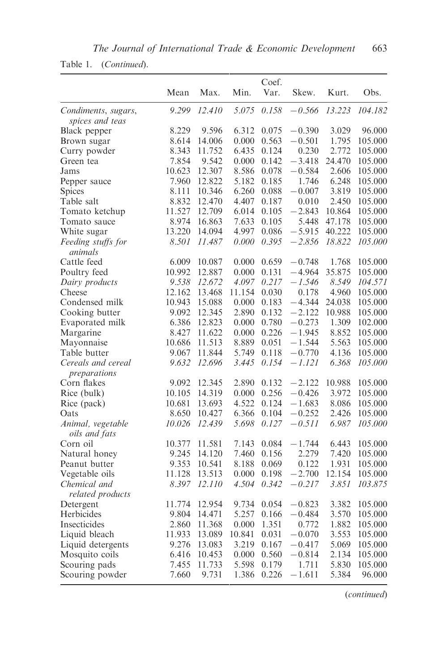| Table 1. | (Continued). |
|----------|--------------|
|----------|--------------|

|                                        |        |        |        | Coef. |          |        |         |
|----------------------------------------|--------|--------|--------|-------|----------|--------|---------|
|                                        | Mean   | Max.   | Min.   | Var.  | Skew.    | Kurt.  | Obs.    |
| Condiments, sugars,<br>spices and teas | 9.299  | 12.410 | 5.075  | 0.158 | $-0.566$ | 13.223 | 104.182 |
| Black pepper                           | 8.229  | 9.596  | 6.312  | 0.075 | $-0.390$ | 3.029  | 96.000  |
| Brown sugar                            | 8.614  | 14.006 | 0.000  | 0.563 | $-0.501$ | 1.795  | 105.000 |
| Curry powder                           | 8.343  | 11.752 | 6.435  | 0.124 | 0.230    | 2.772  | 105.000 |
| Green tea                              | 7.854  | 9.542  | 0.000  | 0.142 | $-3.418$ | 24.470 | 105.000 |
| Jams                                   | 10.623 | 12.307 | 8.586  | 0.078 | $-0.584$ | 2.606  | 105.000 |
| Pepper sauce                           | 7.960  | 12.822 | 5.182  | 0.185 | 1.746    | 6.248  | 105.000 |
| Spices                                 | 8.111  | 10.346 | 6.260  | 0.088 | $-0.007$ | 3.819  | 105.000 |
| Table salt                             | 8.832  | 12.470 | 4.407  | 0.187 | 0.010    | 2.450  | 105.000 |
| Tomato ketchup                         | 11.527 | 12.709 | 6.014  | 0.105 | $-2.843$ | 10.864 | 105.000 |
| Tomato sauce                           | 8.974  | 16.863 | 7.633  | 0.105 | 5.448    | 47.178 | 105.000 |
| White sugar                            | 13.220 | 14.094 | 4.997  | 0.086 | $-5.915$ | 40.222 | 105.000 |
| Feeding stuffs for<br>animals          | 8.501  | 11.487 | 0.000  | 0.395 | $-2.856$ | 18.822 | 105.000 |
| Cattle feed                            | 6.009  | 10.087 | 0.000  | 0.659 | $-0.748$ | 1.768  | 105.000 |
| Poultry feed                           | 10.992 | 12.887 | 0.000  | 0.131 | -4.964   | 35.875 | 105.000 |
| Dairy products                         | 9.538  | 12.672 | 4.097  | 0.217 | $-1.546$ | 8.549  | 104.571 |
| Cheese                                 | 12.162 | 13.468 | 11.154 | 0.030 | 0.178    | 4.960  | 105.000 |
| Condensed milk                         | 10.943 | 15.088 | 0.000  | 0.183 | $-4.344$ | 24.038 | 105.000 |
| Cooking butter                         | 9.092  | 12.345 | 2.890  | 0.132 | $-2.122$ | 10.988 | 105.000 |
| Evaporated milk                        | 6.386  | 12.823 | 0.000  | 0.780 | $-0.273$ | 1.309  | 102.000 |
| Margarine                              | 8.427  | 11.622 | 0.000  | 0.226 | $-1.945$ | 8.852  | 105.000 |
| Mayonnaise                             | 10.686 | 11.513 | 8.889  | 0.051 | $-1.544$ | 5.563  | 105.000 |
| Table butter                           | 9.067  | 11.844 | 5.749  | 0.118 | $-0.770$ | 4.136  | 105.000 |
| Cereals and cereal<br>preparations     | 9.632  | 12.696 | 3.445  | 0.154 | $-1.121$ | 6.368  | 105.000 |
| Corn flakes                            | 9.092  | 12.345 | 2.890  | 0.132 | $-2.122$ | 10.988 | 105.000 |
| Rice (bulk)                            | 10.105 | 14.319 | 0.000  | 0.256 | $-0.426$ | 3.972  | 105.000 |
| Rice (pack)                            | 10.681 | 13.693 | 4.522  | 0.124 | $-1.683$ | 8.086  | 105.000 |
| Oats                                   | 8.650  | 10.427 | 6.366  | 0.104 | $-0.252$ | 2.426  | 105.000 |
| Animal, vegetable<br>oils and fats     | 10.026 | 12.439 | 5.698  | 0.127 | $-0.511$ | 6.987  | 105.000 |
| Corn oil                               | 10.377 | 11.581 | 7.143  | 0.084 | $-1.744$ | 6.443  | 105.000 |
| Natural honey                          | 9.245  | 14.120 | 7.460  | 0.156 | 2.279    | 7.420  | 105.000 |
| Peanut butter                          | 9.353  | 10.541 | 8.188  | 0.069 | 0.122    | 1.931  | 105.000 |
| Vegetable oils                         | 11.128 | 13.513 | 0.000  | 0.198 | $-2.700$ | 12.154 | 105.000 |
| Chemical and                           | 8.397  | 12.110 | 4.504  | 0.342 | $-0.217$ | 3.851  | 103.875 |
| related products                       |        |        |        |       |          |        |         |
| Detergent                              | 11.774 | 12.954 | 9.734  | 0.054 | $-0.823$ | 3.382  | 105.000 |
| Herbicides                             | 9.804  | 14.471 | 5.257  | 0.166 | $-0.484$ | 3.570  | 105.000 |
| Insecticides                           | 2.860  | 11.368 | 0.000  | 1.351 | 0.772    | 1.882  | 105.000 |
| Liquid bleach                          | 11.933 | 13.089 | 10.841 | 0.031 | $-0.070$ | 3.553  | 105.000 |
| Liquid detergents                      | 9.276  | 13.083 | 3.219  | 0.167 | $-0.417$ | 5.069  | 105.000 |
| Mosquito coils                         | 6.416  | 10.453 | 0.000  | 0.560 | $-0.814$ | 2.134  | 105.000 |
| Scouring pads                          | 7.455  | 11.733 | 5.598  | 0.179 | 1.711    | 5.830  | 105.000 |
| Scouring powder                        | 7.660  | 9.731  | 1.386  | 0.226 | $-1.611$ | 5.384  | 96.000  |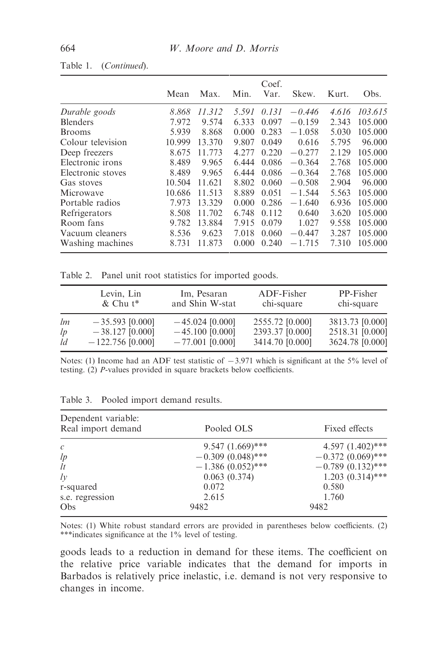|                   | Mean   | Max.   | Min.  | Coef.<br>Var. | Skew.    | Kurt. | Obs.    |
|-------------------|--------|--------|-------|---------------|----------|-------|---------|
| Durable goods     | 8.868  | 11.312 | 5.591 | 0.131         | $-0.446$ | 4.616 | 103.615 |
| <b>Blenders</b>   | 7.972  | 9.574  | 6.333 | 0.097         | $-0.159$ | 2.343 | 105.000 |
| <b>Brooms</b>     | 5.939  | 8.868  | 0.000 | 0.283         | $-1.058$ | 5.030 | 105.000 |
| Colour television | 10.999 | 13.370 | 9.807 | 0.049         | 0.616    | 5.795 | 96.000  |
| Deep freezers     | 8.675  | 11.773 | 4.277 | 0.220         | $-0.277$ | 2.129 | 105.000 |
| Electronic irons  | 8.489  | 9.965  | 6.444 | 0.086         | $-0.364$ | 2.768 | 105.000 |
| Electronic stoves | 8.489  | 9.965  | 6.444 | 0.086         | $-0.364$ | 2.768 | 105.000 |
| Gas stoves        | 10.504 | 11.621 | 8.802 | 0.060         | $-0.508$ | 2.904 | 96.000  |
| Microwave         | 10.686 | 11.513 | 8.889 | 0.051         | $-1.544$ | 5.563 | 105.000 |
| Portable radios   | 7.973  | 13.329 | 0.000 | 0.286         | $-1.640$ | 6.936 | 105.000 |
| Refrigerators     | 8.508  | 11.702 | 6.748 | 0.112         | 0.640    | 3.620 | 105.000 |
| Room fans         | 9.782  | 13.884 | 7.915 | 0.079         | 1.027    | 9.558 | 105.000 |
| Vacuum cleaners   | 8.536  | 9.623  | 7.018 | 0.060         | $-0.447$ | 3.287 | 105.000 |
| Washing machines  | 8.731  | 11.873 | 0.000 | 0.240         | $-1.715$ | 7.310 | 105.000 |

#### Table 1. (Continued).

Table 2. Panel unit root statistics for imported goods.

|    | Levin, Lin         | Im, Pesaran       | ADF-Fisher      | PP-Fisher       |
|----|--------------------|-------------------|-----------------|-----------------|
|    | $&$ Chu t*         | and Shin W-stat   | chi-square      | chi-square      |
| lm | $-35.593$ [0.000]  | $-45.024$ [0.000] | 2555.72 [0.000] | 3813.73 [0.000] |
| lp | $-38.127$ [0.000]  | $-45.100$ [0.000] | 2393.37 [0.000] | 2518.31 [0.000] |
| ld | $-122.756$ [0.000] | $-77.001$ [0.000] | 3414.70 [0.000] | 3624.78 [0.000] |

Notes: (1) Income had an ADF test statistic of  $-3.971$  which is significant at the 5% level of testing. (2) P-values provided in square brackets below coefficients.

| Dependent variable:<br>Real import demand | Pooled OLS          | Fixed effects       |
|-------------------------------------------|---------------------|---------------------|
| $\mathcal{C}$                             | $9.547 (1.669)$ *** | 4.597 $(1.402)$ *** |
| lp                                        | $-0.309(0.048)$ *** | $-0.372(0.069)$ *** |
| lt                                        | $-1.386(0.052)$ *** | $-0.789(0.132)$ *** |
| $l\nu$                                    | 0.063(0.374)        | $1.203(0.314)$ ***  |
| r-squared                                 | 0.072               | 0.580               |
| s.e. regression                           | 2.615               | 1.760               |
| Obs                                       | 9482                | 9482                |

| Table 3. |  |  | Pooled import demand results. |  |
|----------|--|--|-------------------------------|--|
|----------|--|--|-------------------------------|--|

Notes: (1) White robust standard errors are provided in parentheses below coefficients. (2) \*\*\*indicates significance at the 1% level of testing.

goods leads to a reduction in demand for these items. The coefficient on the relative price variable indicates that the demand for imports in Barbados is relatively price inelastic, i.e. demand is not very responsive to changes in income.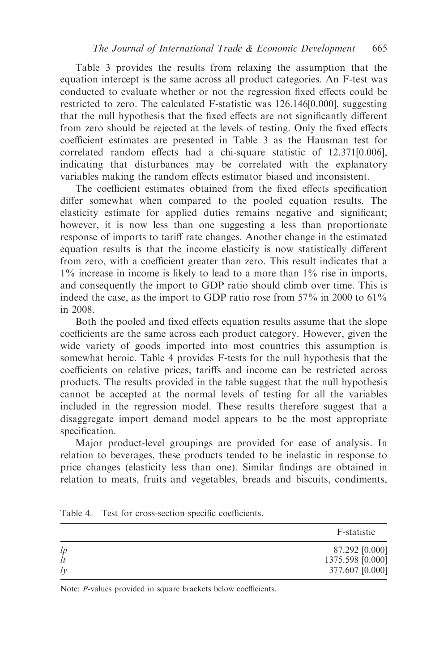Table 3 provides the results from relaxing the assumption that the equation intercept is the same across all product categories. An F-test was conducted to evaluate whether or not the regression fixed effects could be restricted to zero. The calculated F-statistic was 126.146[0.000], suggesting that the null hypothesis that the fixed effects are not significantly different from zero should be rejected at the levels of testing. Only the fixed effects coefficient estimates are presented in Table 3 as the Hausman test for correlated random effects had a chi-square statistic of 12.371[0.006], indicating that disturbances may be correlated with the explanatory variables making the random effects estimator biased and inconsistent.

The coefficient estimates obtained from the fixed effects specification differ somewhat when compared to the pooled equation results. The elasticity estimate for applied duties remains negative and significant; however, it is now less than one suggesting a less than proportionate response of imports to tariff rate changes. Another change in the estimated equation results is that the income elasticity is now statistically different from zero, with a coefficient greater than zero. This result indicates that a 1% increase in income is likely to lead to a more than 1% rise in imports, and consequently the import to GDP ratio should climb over time. This is indeed the case, as the import to GDP ratio rose from 57% in 2000 to 61% in 2008.

Both the pooled and fixed effects equation results assume that the slope coefficients are the same across each product category. However, given the wide variety of goods imported into most countries this assumption is somewhat heroic. Table 4 provides F-tests for the null hypothesis that the coefficients on relative prices, tariffs and income can be restricted across products. The results provided in the table suggest that the null hypothesis cannot be accepted at the normal levels of testing for all the variables included in the regression model. These results therefore suggest that a disaggregate import demand model appears to be the most appropriate specification.

Major product-level groupings are provided for ease of analysis. In relation to beverages, these products tended to be inelastic in response to price changes (elasticity less than one). Similar findings are obtained in relation to meats, fruits and vegetables, breads and biscuits, condiments,

|          | F-statistic                        |
|----------|------------------------------------|
| lp<br>lt | 87.292 [0.000]<br>1375.598 [0.000] |
| $l\nu$   | 377.607 [0.000]                    |

Table 4. Test for cross-section specific coefficients.

Note: P-values provided in square brackets below coefficients.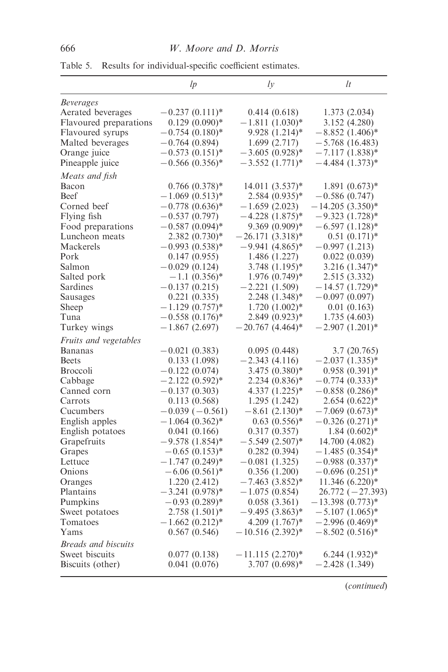|                            | lp                  | $l\nu$               | lt                   |
|----------------------------|---------------------|----------------------|----------------------|
| <b>Beverages</b>           |                     |                      |                      |
| Aerated beverages          | $-0.237(0.111)^*$   | 0.414(0.618)         | 1.373(2.034)         |
| Flavoured preparations     | $0.129(0.090)$ *    | $-1.811(1.030)$ *    | 3.152 (4.280)        |
| Flavoured syrups           | $-0.754(0.180)^*$   | 9.928 (1.214)*       | $-8.852(1.406)^*$    |
| Malted beverages           | $-0.764(0.894)$     | 1.699(2.717)         | $-5.768(16.483)$     |
| Orange juice               | $-0.573(0.151)^*$   | $-3.605(0.928)$ *    | - 7.117 (1.838)*     |
| Pineapple juice            | $-0.566(0.356)$ *   | $-3.552(1.771)*$     | $-4.484$ (1.373)*    |
| Meats and fish             |                     |                      |                      |
| Bacon                      | $0.766(0.378)$ *    | $14.011(3.537)^*$    | $1.891(0.673)*$      |
| <b>Beef</b>                | $-1.069(0.513)*$    | $2.584~(0.935)*$     | $-0.586(0.747)$      |
| Corned beef                | $-0.778(0.636)^*$   | $-1.659(2.023)$      | $-14.205(3.350)^{*}$ |
| Flying fish                | $-0.537(0.797)$     | $-4.228$ $(1.875)*$  | $-9.323(1.728)$ *    |
| Food preparations          | $-0.587(0.094)$ *   | 9.369 (0.909)*       | $-6.597(1.128)$ *    |
| Luncheon meats             | $2.382(0.730)^*$    | $-26.171(3.318)$ *   | $0.51(0.171)*$       |
| Mackerels                  | $-0.993(0.538)$ *   | $-9.941(4.865)*$     | $-0.997(1.213)$      |
| Pork                       | 0.147(0.955)        | 1.486 (1.227)        | 0.022(0.039)         |
| Salmon                     | $-0.029(0.124)$     | 3.748 (1.195)*       | 3.216 (1.347)*       |
| Salted pork                | $-1.1(0.356)*$      | $1.976(0.749)$ *     | 2.515 (3.332)        |
| Sardines                   | $-0.137(0.215)$     | $-2.221(1.509)$      | $-14.57(1.729)$ *    |
| Sausages                   | 0.221(0.335)        | 2.248 (1.348)*       | $-0.097(0.097)$      |
| Sheep                      | $-1.129(0.757)^*$   | $1.720(1.002)^*$     | 0.01(0.163)          |
| Tuna                       | $-0.558(0.176)$ *   | 2.849 (0.923)*       | 1.735(4.603)         |
| Turkey wings               | $-1.867(2.697)$     | $-20.767(4.464)$ *   | $-2.907(1.201)$ *    |
| Fruits and vegetables      |                     |                      |                      |
| Bananas                    | $-0.021(0.383)$     | 0.095(0.448)         | 3.7 (20.765)         |
| <b>Beets</b>               | 0.133(1.098)        | $-2.343(4.116)$      | $-2.037(1.335)^{*}$  |
| <b>Broccoli</b>            | $-0.122(0.074)$     | $3.475(0.380)*$      | $0.958(0.391)*$      |
| Cabbage                    | $-2.122(0.592)^{*}$ | $2.234~(0.836)*$     | $-0.774(0.333)*$     |
| Canned corn                | $-0.137(0.303)$     | 4.337 (1.225)*       | $-0.858(0.286)$ *    |
| Carrots                    | 0.113(0.568)        | 1.295 (1.242)        | $2.654(0.622)*$      |
| Cucumbers                  | $-0.039(-0.561)$    | $-8.61(2.130)^*$     | $-7.069~(0.673)*$    |
| English apples             | $-1.064(0.362)$ *   | $0.63(0.556)*$       | $-0.326(0.271)$ *    |
| English potatoes           | 0.041(0.166)        | 0.317(0.357)         | $1.84~(0.602)$ *     |
| Grapefruits                | $-9.578(1.854)^*$   | $-5.549(2.507)^{*}$  | 14.700 (4.082)       |
| Grapes                     | $-0.65(0.153)$ *    | 0.282(0.394)         | $-1.485(0.354)$ *    |
| Lettuce                    | $-1.747(0.249)^*$   | $-0.081(1.325)$      | $-0.988(0.337)^{*}$  |
| Onions                     | $-6.06(0.561)$ *    | 0.356 (1.200)        | $-0.696(0.251)$ *    |
| Oranges                    | 1.220 (2.412)       | $-7.463$ (3.852)*    | $11.346(6.220)$ *    |
| Plantains                  | $-3.241(0.978)$ *   | $-1.075(0.854)$      | $26.772(-27.393)$    |
| Pumpkins                   | $-0.93(0.289)$ *    | 0.058(3.361)         | $-13.398(0.773)*$    |
| Sweet potatoes             | $2.758(1.501)^*$    | $-9.495(3.863)*$     | $-5.107(1.065)^{*}$  |
| Tomatoes                   | $-1.662(0.212)^{*}$ | $4.209(1.767)^*$     | –2.996 (0.469)*      |
| Yams                       | 0.567(0.546)        | $-10.516(2.392)^{*}$ | $-8.502(0.516)^*$    |
| <b>Breads and biscuits</b> |                     |                      |                      |
| Sweet biscuits             | 0.077(0.138)        | $-11.115(2.270)^{*}$ | $6.244(1.932)*$      |
| Biscuits (other)           | 0.041(0.076)        | $3.707(0.698)*$      | $-2.428(1.349)$      |

Table 5. Results for individual-specific coefficient estimates.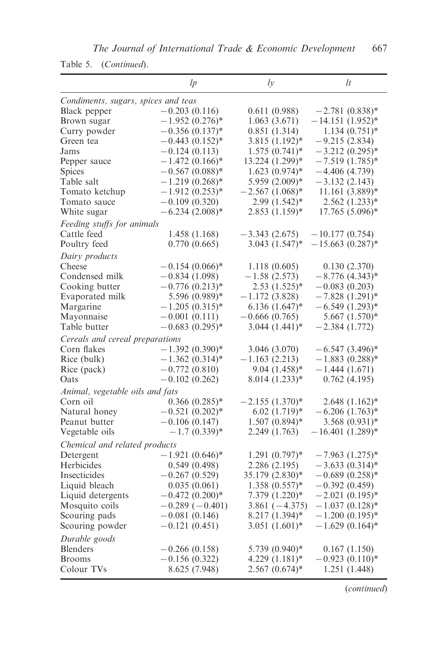|                                     | lp                  | $l\nu$                      | lt                 |
|-------------------------------------|---------------------|-----------------------------|--------------------|
| Condiments, sugars, spices and teas |                     |                             |                    |
| Black pepper                        | $-0.203(0.116)$     | 0.611(0.988)                | $-2.781(0.838)$ *  |
| Brown sugar                         | $-1.952(0.276)$ *   | 1.063(3.671)                | $-14.151(1.952)$ * |
| Curry powder                        | $-0.356(0.137)^{*}$ | 0.851(1.314)                | $1.134(0.751)$ *   |
| Green tea                           | $-0.443(0.152)^{*}$ | $3.815(1.192)^*$            | $-9.215(2.834)$    |
| Jams                                | $-0.124(0.113)$     | $1.575(0.741)*$             | $-3.212(0.295)$ *  |
| Pepper sauce                        | $-1.472(0.166)$ *   | 13.224 (1.299)*             | $-7.519(1.785)$ *  |
| <b>Spices</b>                       | $-0.567(0.088)$ *   | $1.623(0.974)$ *            | $-4.406(4.739)$    |
| Table salt                          | $-1.219(0.268)$ *   | 5.959 (2.009)*              | $-3.132(2.143)$    |
| Tomato ketchup                      | $-1.912(0.253)*$    | $-2.567(1.068)$ *           | $11.161(3.889)*$   |
| Tomato sauce                        | $-0.109(0.320)$     | $2.99(1.542)^*$             | $2.562(1.233)*$    |
| White sugar                         | $-6.234(2.008)$ *   | $2.853(1.159)^*$            | $17.765(5.096)^*$  |
| Feeding stuffs for animals          |                     |                             |                    |
| Cattle feed                         | 1.458 (1.168)       | $-3.343(2.675)$             | $-10.177(0.754)$   |
| Poultry feed                        | 0.770(0.665)        | $3.043(1.547)^*$            | $-15.663(0.287)$ * |
| Dairy products                      |                     |                             |                    |
| Cheese                              | $-0.154(0.066)$ *   | 1.118(0.605)                | 0.130(2.370)       |
| Condensed milk                      | $-0.834(1.098)$     | $-1.58(2.573)$              | $-8.776(4.343)*$   |
| Cooking butter                      | $-0.776(0.213)^*$   | $2.53(1.525)*$              | $-0.083(0.203)$    |
| Evaporated milk                     | $5.596(0.989)*$     | $-1.172(3.828)$             | $-7.828(1.291)$ *  |
| Margarine                           | $-1.205(0.315)*$    | $6.136(1.647)^*$            | $-6.549(1.293)*$   |
| Mayonnaise                          | $-0.001(0.111)$     | $-0.666(0.765)$             | $5.667(1.570)*$    |
| Table butter                        | $-0.683(0.295)^{*}$ | $3.044(1.441)^*$            | $-2.384(1.772)$    |
| Cereals and cereal preparations     |                     |                             |                    |
| Corn flakes                         | $-1.392(0.390)$ *   | 3.046 (3.070)               | $-6.547(3.496)$ *  |
| Rice (bulk)                         | $-1.362(0.314)$ *   | $-1.163(2.213)$             | $-1.883(0.288)*$   |
| Rice (pack)                         | $-0.772(0.810)$     | $9.04(1.458)*$              | $-1.444(1.671)$    |
| Oats                                | $-0.102(0.262)$     | $8.014(1.233)*$             | 0.762(4.195)       |
| Animal, vegetable oils and fats     |                     |                             |                    |
| Corn oil                            | $0.366(0.285)*$     | $-2.155(1.370)^{*}$         | $2.648(1.162)^*$   |
| Natural honey                       | $-0.521(0.202)$ *   | $6.02(1.719)*$              | $-6.206(1.763)*$   |
| Peanut butter                       | $-0.106(0.147)$     | $1.507(0.894)$ <sup>*</sup> | 3.568 (0.931)*     |
| Vegetable oils                      | $-1.7(0.339)*$      | 2.249 (1.763)               | $-16.401(1.289)*$  |
| Chemical and related products       |                     |                             |                    |
| Detergent                           | $-1.921(0.646)$ *   | $1.291(0.797)$ *            | $-7.963$ (1.275)*  |
| Herbicides                          | 0.549(0.498)        | 2.286 (2.195)               | $-3.633(0.314)$ *  |
| Insecticides                        | $-0.267(0.529)$     | 35.179 (2.830)*             | $-0.689(0.258)$ *  |
| Liquid bleach                       | 0.035(0.061)        | $1.358(0.557)*$             | $-0.392(0.459)$    |
| Liquid detergents                   | $-0.472(0.200)*$    | 7.379 (1.220)*              | $-2.021(0.195)$ *  |
| Mosquito coils                      | $-0.289(-0.401)$    | $3.861(-4.375)$             | $-1.037(0.128)$ *  |
| Scouring pads                       | $-0.081(0.146)$     | $8.217(1.394)^*$            | $-1.200(0.195)$ *  |
| Scouring powder                     | $-0.121(0.451)$     | $3.051(1.601)*$             | $-1.629(0.164)$ *  |
| Durable goods                       |                     |                             |                    |
| <b>Blenders</b>                     | $-0.266(0.158)$     | 5.739 (0.940)*              | 0.167(1.150)       |
| <b>Brooms</b>                       | $-0.156(0.322)$     | $4.229(1.181)$ <sup>*</sup> | $-0.923(0.110)*$   |
| Colour TVs                          | 8.625 (7.948)       | $2.567(0.674)$ *            | 1.251 (1.448)      |

Table 5. (Continued).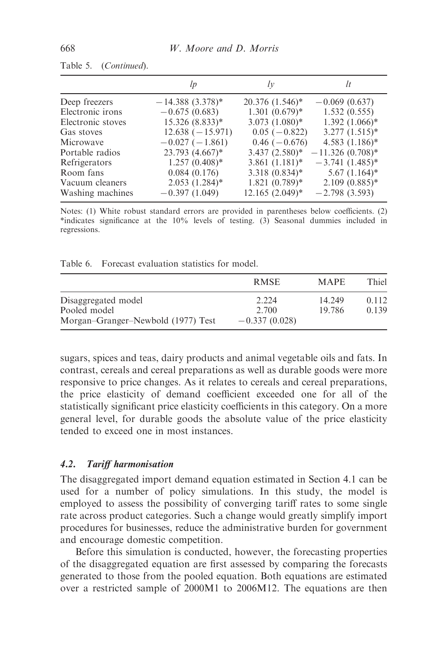|                   | lp                   | $l\nu$                         | lt                 |
|-------------------|----------------------|--------------------------------|--------------------|
| Deep freezers     | $-14.388(3.378)^{*}$ | $20.376(1.546)^*$              | $-0.069(0.637)$    |
| Electronic irons  | $-0.675(0.683)$      | $1.301(0.679)*$                | 1.532(0.555)       |
| Electronic stoves | 15.326 (8.833)*      | $3.073$ $(1.080)$ <sup>*</sup> | $1.392(1.066)*$    |
| Gas stoves        | $12.638(-15.971)$    | $0.05(-0.822)$                 | $3.277(1.515)^*$   |
| Microwaye         | $-0.027(-1.861)$     | $0.46(-0.676)$                 | $4.583(1.186)$ *   |
| Portable radios   | 23.793 (4.667)*      | $3.437(2.580)^*$               | $-11.326(0.708)$ * |
| Refrigerators     | $1.257(0.408)*$      | $3.861(1.181)$ *               | $-3.741(1.485)^*$  |
| Room fans         | 0.084(0.176)         | $3.318(0.834)*$                | $5.67$ $(1.164)^*$ |
| Vacuum cleaners   | $2.053$ $(1.284)$ *  | $1.821(0.789)$ *               | $2.109(0.885)*$    |
| Washing machines  | $-0.397(1.049)$      | $12.165(2.049)^*$              | $-2.798(3.593)$    |

| Table 5. |  | (Continued). |
|----------|--|--------------|
|----------|--|--------------|

Notes: (1) White robust standard errors are provided in parentheses below coefficients. (2) \*indicates significance at the 10% levels of testing. (3) Seasonal dummies included in regressions.

Table 6. Forecast evaluation statistics for model.

|                                     | R MSE           | <b>MAPE</b>      | Thiel          |
|-------------------------------------|-----------------|------------------|----------------|
| Disaggregated model<br>Pooled model | 2.224<br>2.700  | 14.249<br>19.786 | 0.112<br>0.139 |
| Morgan-Granger-Newbold (1977) Test  | $-0.337(0.028)$ |                  |                |

sugars, spices and teas, dairy products and animal vegetable oils and fats. In contrast, cereals and cereal preparations as well as durable goods were more responsive to price changes. As it relates to cereals and cereal preparations, the price elasticity of demand coefficient exceeded one for all of the statistically significant price elasticity coefficients in this category. On a more general level, for durable goods the absolute value of the price elasticity tended to exceed one in most instances.

#### 4.2. Tariff harmonisation

The disaggregated import demand equation estimated in Section 4.1 can be used for a number of policy simulations. In this study, the model is employed to assess the possibility of converging tariff rates to some single rate across product categories. Such a change would greatly simplify import procedures for businesses, reduce the administrative burden for government and encourage domestic competition.

Before this simulation is conducted, however, the forecasting properties of the disaggregated equation are first assessed by comparing the forecasts generated to those from the pooled equation. Both equations are estimated over a restricted sample of 2000M1 to 2006M12. The equations are then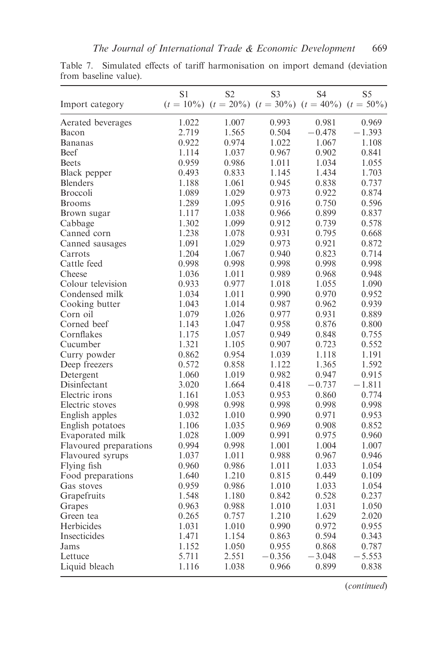|                        | S1    | S <sub>2</sub>                                                   | S <sub>3</sub> | S4       | S5       |
|------------------------|-------|------------------------------------------------------------------|----------------|----------|----------|
| Import category        |       | $(t = 10\%)$ $(t = 20\%)$ $(t = 30\%)$ $(t = 40\%)$ $(t = 50\%)$ |                |          |          |
| Aerated beverages      | 1.022 | 1.007                                                            | 0.993          | 0.981    | 0.969    |
| Bacon                  | 2.719 | 1.565                                                            | 0.504          | $-0.478$ | -1.393   |
| <b>Bananas</b>         | 0.922 | 0.974                                                            | 1.022          | 1.067    | 1.108    |
| <b>Beef</b>            | 1.114 | 1.037                                                            | 0.967          | 0.902    | 0.841    |
| <b>Beets</b>           | 0.959 | 0.986                                                            | 1.011          | 1.034    | 1.055    |
| Black pepper           | 0.493 | 0.833                                                            | 1.145          | 1.434    | 1.703    |
| <b>Blenders</b>        | 1.188 | 1.061                                                            | 0.945          | 0.838    | 0.737    |
| <b>Broccoli</b>        | 1.089 | 1.029                                                            | 0.973          | 0.922    | 0.874    |
| <b>Brooms</b>          | 1.289 | 1.095                                                            | 0.916          | 0.750    | 0.596    |
| Brown sugar            | 1.117 | 1.038                                                            | 0.966          | 0.899    | 0.837    |
| Cabbage                | 1.302 | 1.099                                                            | 0.912          | 0.739    | 0.578    |
| Canned corn            | 1.238 | 1.078                                                            | 0.931          | 0.795    | 0.668    |
| Canned sausages        | 1.091 | 1.029                                                            | 0.973          | 0.921    | 0.872    |
| Carrots                | 1.204 | 1.067                                                            | 0.940          | 0.823    | 0.714    |
| Cattle feed            | 0.998 | 0.998                                                            | 0.998          | 0.998    | 0.998    |
| Cheese                 | 1.036 | 1.011                                                            | 0.989          | 0.968    | 0.948    |
| Colour television      | 0.933 | 0.977                                                            | 1.018          | 1.055    | 1.090    |
| Condensed milk         | 1.034 | 1.011                                                            | 0.990          | 0.970    | 0.952    |
| Cooking butter         | 1.043 | 1.014                                                            | 0.987          | 0.962    | 0.939    |
| Corn oil               | 1.079 | 1.026                                                            | 0.977          | 0.931    | 0.889    |
| Corned beef            | 1.143 | 1.047                                                            | 0.958          | 0.876    | 0.800    |
| Cornflakes             | 1.175 | 1.057                                                            | 0.949          | 0.848    | 0.755    |
| Cucumber               | 1.321 | 1.105                                                            | 0.907          | 0.723    | 0.552    |
| Curry powder           | 0.862 | 0.954                                                            | 1.039          | 1.118    | 1.191    |
| Deep freezers          | 0.572 | 0.858                                                            | 1.122          | 1.365    | 1.592    |
| Detergent              | 1.060 | 1.019                                                            | 0.982          | 0.947    | 0.915    |
| Disinfectant           | 3.020 | 1.664                                                            | 0.418          | $-0.737$ | $-1.811$ |
| Electric irons         | 1.161 | 1.053                                                            | 0.953          | 0.860    | 0.774    |
| Electric stoves        | 0.998 | 0.998                                                            | 0.998          | 0.998    | 0.998    |
| English apples         | 1.032 | 1.010                                                            | 0.990          | 0.971    | 0.953    |
| English potatoes       | 1.106 | 1.035                                                            | 0.969          | 0.908    | 0.852    |
| Evaporated milk        | 1.028 | 1.009                                                            | 0.991          | 0.975    | 0.960    |
| Flavoured preparations | 0.994 | 0.998                                                            | 1.001          | 1.004    | 1.007    |
| Flavoured syrups       | 1.037 | 1.011                                                            | 0.988          | 0.967    | 0.946    |
| Flying fish            | 0.960 | 0.986                                                            | 1.011          | 1.033    | 1.054    |
| Food preparations      | 1.640 | 1.210                                                            | 0.815          | 0.449    | 0.109    |
| Gas stoves             | 0.959 | 0.986                                                            | 1.010          | 1.033    | 1.054    |
| Grapefruits            | 1.548 | 1.180                                                            | 0.842          | 0.528    | 0.237    |
| Grapes                 | 0.963 | 0.988                                                            | 1.010          | 1.031    | 1.050    |
| Green tea              | 0.265 | 0.757                                                            | 1.210          | 1.629    | 2.020    |
| Herbicides             | 1.031 | 1.010                                                            | 0.990          | 0.972    | 0.955    |
| Insecticides           | 1.471 | 1.154                                                            | 0.863          | 0.594    | 0.343    |
| Jams                   | 1.152 | 1.050                                                            | 0.955          | 0.868    | 0.787    |
| Lettuce                | 5.711 | 2.551                                                            | $-0.356$       | $-3.048$ | $-5.553$ |
| Liquid bleach          | 1.116 | 1.038                                                            | 0.966          | 0.899    | 0.838    |

Table 7. Simulated effects of tariff harmonisation on import demand (deviation from baseline value).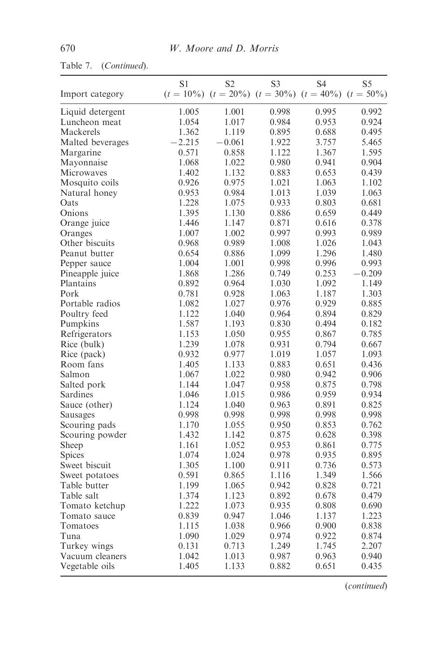## Table 7. (Continued).

|                  | S1       | S2                                                               | S <sub>3</sub> | S4    | S5       |
|------------------|----------|------------------------------------------------------------------|----------------|-------|----------|
| Import category  |          | $(t = 10\%)$ $(t = 20\%)$ $(t = 30\%)$ $(t = 40\%)$ $(t = 50\%)$ |                |       |          |
| Liquid detergent | 1.005    | 1.001                                                            | 0.998          | 0.995 | 0.992    |
| Luncheon meat    | 1.054    | 1.017                                                            | 0.984          | 0.953 | 0.924    |
| Mackerels        | 1.362    | 1.119                                                            | 0.895          | 0.688 | 0.495    |
| Malted beverages | $-2.215$ | $-0.061$                                                         | 1.922          | 3.757 | 5.465    |
| Margarine        | 0.571    | 0.858                                                            | 1.122          | 1.367 | 1.595    |
| Mayonnaise       | 1.068    | 1.022                                                            | 0.980          | 0.941 | 0.904    |
| Microwaves       | 1.402    | 1.132                                                            | 0.883          | 0.653 | 0.439    |
| Mosquito coils   | 0.926    | 0.975                                                            | 1.021          | 1.063 | 1.102    |
| Natural honey    | 0.953    | 0.984                                                            | 1.013          | 1.039 | 1.063    |
| Oats             | 1.228    | 1.075                                                            | 0.933          | 0.803 | 0.681    |
| Onions           | 1.395    | 1.130                                                            | 0.886          | 0.659 | 0.449    |
| Orange juice     | 1.446    | 1.147                                                            | 0.871          | 0.616 | 0.378    |
| Oranges          | 1.007    | 1.002                                                            | 0.997          | 0.993 | 0.989    |
| Other biscuits   | 0.968    | 0.989                                                            | 1.008          | 1.026 | 1.043    |
| Peanut butter    | 0.654    | 0.886                                                            | 1.099          | 1.296 | 1.480    |
| Pepper sauce     | 1.004    | 1.001                                                            | 0.998          | 0.996 | 0.993    |
| Pineapple juice  | 1.868    | 1.286                                                            | 0.749          | 0.253 | $-0.209$ |
| Plantains        | 0.892    | 0.964                                                            | 1.030          | 1.092 | 1.149    |
| Pork             | 0.781    | 0.928                                                            | 1.063          | 1.187 | 1.303    |
| Portable radios  | 1.082    | 1.027                                                            | 0.976          | 0.929 | 0.885    |
| Poultry feed     | 1.122    | 1.040                                                            | 0.964          | 0.894 | 0.829    |
| Pumpkins         | 1.587    | 1.193                                                            | 0.830          | 0.494 | 0.182    |
| Refrigerators    | 1.153    | 1.050                                                            | 0.955          | 0.867 | 0.785    |
| Rice (bulk)      | 1.239    | 1.078                                                            | 0.931          | 0.794 | 0.667    |
| Rice (pack)      | 0.932    | 0.977                                                            | 1.019          | 1.057 | 1.093    |
| Room fans        | 1.405    | 1.133                                                            | 0.883          | 0.651 | 0.436    |
| Salmon           | 1.067    | 1.022                                                            | 0.980          | 0.942 | 0.906    |
| Salted pork      | 1.144    | 1.047                                                            | 0.958          | 0.875 | 0.798    |
| Sardines         | 1.046    | 1.015                                                            | 0.986          | 0.959 | 0.934    |
| Sauce (other)    | 1.124    | 1.040                                                            | 0.963          | 0.891 | 0.825    |
| Sausages         | 0.998    | 0.998                                                            | 0.998          | 0.998 | 0.998    |
| Scouring pads    | 1.170    | 1.055                                                            | 0.950          | 0.853 | 0.762    |
| Scouring powder  | 1.432    | 1.142                                                            | 0.875          | 0.628 | 0.398    |
| Sheep            | 1.161    | 1.052                                                            | 0.953          | 0.861 | 0.775    |
| <b>Spices</b>    | 1.074    | 1.024                                                            | 0.978          | 0.935 | 0.895    |
| Sweet biscuit    | 1.305    | 1.100                                                            | 0.911          | 0.736 | 0.573    |
| Sweet potatoes   | 0.591    | 0.865                                                            | 1.116          | 1.349 | 1.566    |
| Table butter     | 1.199    | 1.065                                                            | 0.942          | 0.828 | 0.721    |
| Table salt       | 1.374    | 1.123                                                            | 0.892          | 0.678 | 0.479    |
| Tomato ketchup   | 1.222    | 1.073                                                            | 0.935          | 0.808 | 0.690    |
| Tomato sauce     | 0.839    | 0.947                                                            | 1.046          | 1.137 | 1.223    |
| Tomatoes         | 1.115    | 1.038                                                            | 0.966          | 0.900 | 0.838    |
| Tuna             | 1.090    | 1.029                                                            | 0.974          | 0.922 | 0.874    |
| Turkey wings     | 0.131    | 0.713                                                            | 1.249          | 1.745 | 2.207    |
| Vacuum cleaners  | 1.042    | 1.013                                                            | 0.987          | 0.963 | 0.940    |
| Vegetable oils   | 1.405    | 1.133                                                            | 0.882          | 0.651 | 0.435    |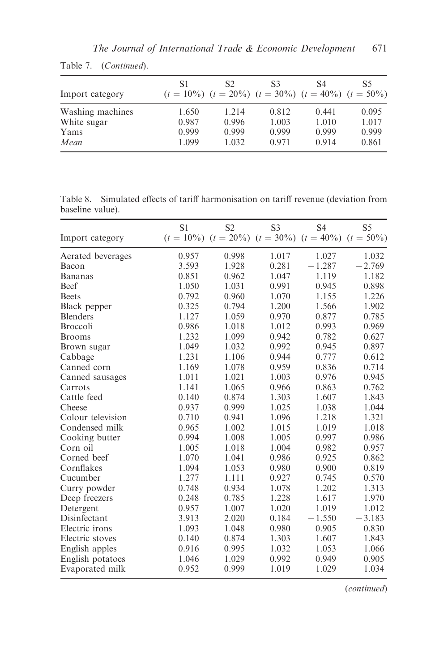| Import category                         | S1                      | S2<br>$(t = 10\%)$ $(t = 20\%)$ $(t = 30\%)$ $(t = 40\%)$ $(t = 50\%)$ | S3                      | S4                      | S5                      |
|-----------------------------------------|-------------------------|------------------------------------------------------------------------|-------------------------|-------------------------|-------------------------|
| Washing machines<br>White sugar<br>Yams | 1.650<br>0.987<br>0.999 | 1.214<br>0.996<br>0.999                                                | 0.812<br>1.003<br>0.999 | 0.441<br>1.010<br>0.999 | 0.095<br>1.017<br>0.999 |
| Mean                                    | 1.099                   | 1.032                                                                  | 0.971                   | 0.914                   | 0.861                   |

Table 7. (Continued).

Table 8. Simulated effects of tariff harmonisation on tariff revenue (deviation from baseline value).

|                   | S <sub>1</sub> | S <sub>2</sub>                                                   | S <sub>3</sub> | S <sub>4</sub> | S <sub>5</sub> |
|-------------------|----------------|------------------------------------------------------------------|----------------|----------------|----------------|
| Import category   |                | $(t = 10\%)$ $(t = 20\%)$ $(t = 30\%)$ $(t = 40\%)$ $(t = 50\%)$ |                |                |                |
| Aerated beverages | 0.957          | 0.998                                                            | 1.017          | 1.027          | 1.032          |
| Bacon             | 3.593          | 1.928                                                            | 0.281          | $-1.287$       | $-2.769$       |
| Bananas           | 0.851          | 0.962                                                            | 1.047          | 1.119          | 1.182          |
| Beef              | 1.050          | 1.031                                                            | 0.991          | 0.945          | 0.898          |
| <b>Beets</b>      | 0.792          | 0.960                                                            | 1.070          | 1.155          | 1.226          |
| Black pepper      | 0.325          | 0.794                                                            | 1.200          | 1.566          | 1.902          |
| <b>Blenders</b>   | 1.127          | 1.059                                                            | 0.970          | 0.877          | 0.785          |
| <b>Broccoli</b>   | 0.986          | 1.018                                                            | 1.012          | 0.993          | 0.969          |
| <b>Brooms</b>     | 1.232          | 1.099                                                            | 0.942          | 0.782          | 0.627          |
| Brown sugar       | 1.049          | 1.032                                                            | 0.992          | 0.945          | 0.897          |
| Cabbage           | 1.231          | 1.106                                                            | 0.944          | 0.777          | 0.612          |
| Canned corn       | 1.169          | 1.078                                                            | 0.959          | 0.836          | 0.714          |
| Canned sausages   | 1.011          | 1.021                                                            | 1.003          | 0.976          | 0.945          |
| Carrots           | 1.141          | 1.065                                                            | 0.966          | 0.863          | 0.762          |
| Cattle feed       | 0.140          | 0.874                                                            | 1.303          | 1.607          | 1.843          |
| Cheese            | 0.937          | 0.999                                                            | 1.025          | 1.038          | 1.044          |
| Colour television | 0.710          | 0.941                                                            | 1.096          | 1.218          | 1.321          |
| Condensed milk    | 0.965          | 1.002                                                            | 1.015          | 1.019          | 1.018          |
| Cooking butter    | 0.994          | 1.008                                                            | 1.005          | 0.997          | 0.986          |
| Corn oil          | 1.005          | 1.018                                                            | 1.004          | 0.982          | 0.957          |
| Corned beef       | 1.070          | 1.041                                                            | 0.986          | 0.925          | 0.862          |
| Cornflakes        | 1.094          | 1.053                                                            | 0.980          | 0.900          | 0.819          |
| Cucumber          | 1.277          | 1.111                                                            | 0.927          | 0.745          | 0.570          |
| Curry powder      | 0.748          | 0.934                                                            | 1.078          | 1.202          | 1.313          |
| Deep freezers     | 0.248          | 0.785                                                            | 1.228          | 1.617          | 1.970          |
| Detergent         | 0.957          | 1.007                                                            | 1.020          | 1.019          | 1.012          |
| Disinfectant      | 3.913          | 2.020                                                            | 0.184          | $-1.550$       | $-3.183$       |
| Electric irons    | 1.093          | 1.048                                                            | 0.980          | 0.905          | 0.830          |
| Electric stoves   | 0.140          | 0.874                                                            | 1.303          | 1.607          | 1.843          |
| English apples    | 0.916          | 0.995                                                            | 1.032          | 1.053          | 1.066          |
| English potatoes  | 1.046          | 1.029                                                            | 0.992          | 0.949          | 0.905          |
| Evaporated milk   | 0.952          | 0.999                                                            | 1.019          | 1.029          | 1.034          |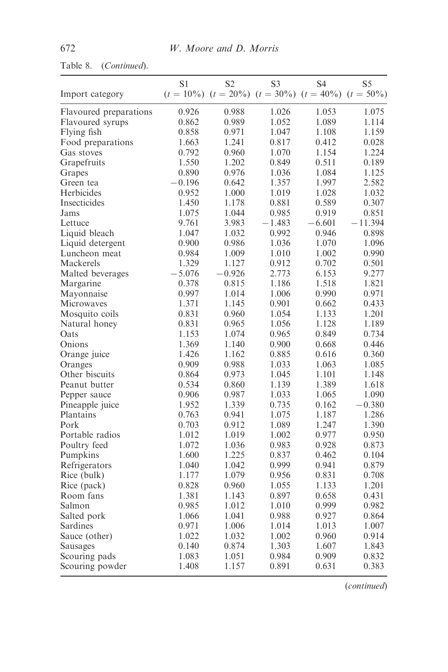| Import category        | S1       | S2       | S <sub>3</sub><br>$(t = 10\%)$ $(t = 20\%)$ $(t = 30\%)$ $(t = 40\%)$ $(t = 50\%)$ | S <sub>4</sub> | S5        |
|------------------------|----------|----------|------------------------------------------------------------------------------------|----------------|-----------|
| Flavoured preparations | 0.926    | 0.988    | 1.026                                                                              | 1.053          | 1.075     |
| Flavoured syrups       | 0.862    | 0.989    | 1.052                                                                              | 1.089          | 1.114     |
| Flying fish            | 0.858    | 0.971    | 1.047                                                                              | 1.108          | 1.159     |
| Food preparations      | 1.663    | 1.241    | 0.817                                                                              | 0.412          | 0.028     |
| Gas stoves             | 0.792    | 0.960    | 1.070                                                                              | 1.154          | 1.224     |
| Grapefruits            | 1.550    | 1.202    | 0.849                                                                              | 0.511          | 0.189     |
| Grapes                 | 0.890    | 0.976    | 1.036                                                                              | 1.084          | 1.125     |
| Green tea              | $-0.196$ | 0.642    | 1.357                                                                              | 1.997          | 2.582     |
| Herbicides             | 0.952    | 1.000    | 1.019                                                                              | 1.028          | 1.032     |
| Insecticides           | 1.450    | 1.178    | 0.881                                                                              | 0.589          | 0.307     |
| Jams                   | 1.075    | 1.044    | 0.985                                                                              | 0.919          | 0.851     |
| Lettuce                | 9.761    | 3.983    | $-1.483$                                                                           | $-6.601$       | $-11.394$ |
| Liquid bleach          | 1.047    | 1.032    | 0.992                                                                              | 0.946          | 0.898     |
| Liquid detergent       | 0.900    | 0.986    | 1.036                                                                              | 1.070          | 1.096     |
| Luncheon meat          | 0.984    | 1.009    | 1.010                                                                              | 1.002          | 0.990     |
| Mackerels              | 1.329    | 1.127    | 0.912                                                                              | 0.702          | 0.501     |
| Malted beverages       | $-5.076$ | $-0.926$ | 2.773                                                                              | 6.153          | 9.277     |
| Margarine              | 0.378    | 0.815    | 1.186                                                                              | 1.518          | 1.821     |
| Mayonnaise             | 0.997    | 1.014    | 1.006                                                                              | 0.990          | 0.971     |
| Microwaves             | 1.371    | 1.145    | 0.901                                                                              | 0.662          | 0.433     |
| Mosquito coils         | 0.831    | 0.960    | 1.054                                                                              | 1.133          | 1.201     |
| Natural honey          | 0.831    | 0.965    | 1.056                                                                              | 1.128          | 1.189     |
| Oats                   | 1.153    | 1.074    | 0.965                                                                              | 0.849          | 0.734     |
| Onions                 | 1.369    | 1.140    | 0.900                                                                              | 0.668          | 0.446     |
| Orange juice           | 1.426    | 1.162    | 0.885                                                                              | 0.616          | 0.360     |
| Oranges                | 0.909    | 0.988    | 1.033                                                                              | 1.063          | 1.085     |
| Other biscuits         | 0.864    | 0.973    | 1.045                                                                              | 1.101          | 1.148     |
| Peanut butter          | 0.534    | 0.860    | 1.139                                                                              | 1.389          | 1.618     |
| Pepper sauce           | 0.906    | 0.987    | 1.033                                                                              | 1.065          | 1.090     |
| Pineapple juice        | 1.952    | 1.339    | 0.735                                                                              | 0.162          | $-0.380$  |
| Plantains              | 0.763    | 0.941    | 1.075                                                                              | 1.187          | 1.286     |
| Pork                   | 0.703    | 0.912    | 1.089                                                                              | 1.247          | 1.390     |
| Portable radios        | 1.012    | 1.019    | 1.002                                                                              | 0.977          | 0.950     |
| Poultry feed           | 1.072    | 1.036    | 0.983                                                                              | 0.928          | 0.873     |
| Pumpkins               | 1.600    | 1.225    | 0.837                                                                              | 0.462          | 0.104     |
| Refrigerators          | 1.040    | 1.042    | 0.999                                                                              | 0.941          | 0.879     |
| Rice (bulk)            | 1.177    | 1.079    | 0.956                                                                              | 0.831          | 0.708     |
| Rice (pack)            | 0.828    | 0.960    | 1.055                                                                              | 1.133          | 1.201     |
| Room fans              | 1.381    | 1.143    | 0.897                                                                              | 0.658          | 0.431     |
| Salmon                 | 0.985    | 1.012    | 1.010                                                                              | 0.999          | 0.982     |
| Salted pork            | 1.066    | 1.041    | 0.988                                                                              | 0.927          | 0.864     |
| Sardines               | 0.971    | 1.006    | 1.014                                                                              | 1.013          | 1.007     |
| Sauce (other)          | 1.022    | 1.032    | 1.002                                                                              | 0.960          | 0.914     |
| Sausages               | 0.140    | 0.874    | 1.303                                                                              | 1.607          | 1.843     |
| Scouring pads          | 1.083    | 1.051    | 0.984                                                                              | 0.909          | 0.832     |
| Scouring powder        | 1.408    | 1.157    | 0.891                                                                              | 0.631          | 0.383     |
|                        |          |          |                                                                                    |                |           |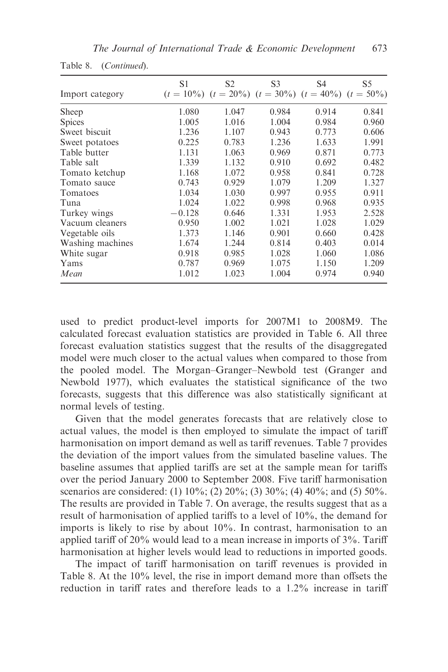| Import category  | S1       | S <sub>2</sub><br>$(t = 10\%)$ $(t = 20\%)$ $(t = 30\%)$ $(t = 40\%)$ $(t = 50\%)$ | S <sub>3</sub> | S4    | S5    |
|------------------|----------|------------------------------------------------------------------------------------|----------------|-------|-------|
| Sheep            | 1.080    | 1.047                                                                              | 0.984          | 0.914 | 0.841 |
| <b>Spices</b>    | 1.005    | 1.016                                                                              | 1.004          | 0.984 | 0.960 |
| Sweet biscuit    | 1.236    | 1.107                                                                              | 0.943          | 0.773 | 0.606 |
| Sweet potatoes   | 0.225    | 0.783                                                                              | 1.236          | 1.633 | 1.991 |
| Table butter     | 1.131    | 1.063                                                                              | 0.969          | 0.871 | 0.773 |
| Table salt       | 1.339    | 1.132                                                                              | 0.910          | 0.692 | 0.482 |
| Tomato ketchup   | 1.168    | 1.072                                                                              | 0.958          | 0.841 | 0.728 |
| Tomato sauce     | 0.743    | 0.929                                                                              | 1.079          | 1.209 | 1.327 |
| Tomatoes         | 1.034    | 1.030                                                                              | 0.997          | 0.955 | 0.911 |
| Tuna             | 1.024    | 1.022                                                                              | 0.998          | 0.968 | 0.935 |
| Turkey wings     | $-0.128$ | 0.646                                                                              | 1.331          | 1.953 | 2.528 |
| Vacuum cleaners  | 0.950    | 1.002                                                                              | 1.021          | 1.028 | 1.029 |
| Vegetable oils   | 1.373    | 1.146                                                                              | 0.901          | 0.660 | 0.428 |
| Washing machines | 1.674    | 1.244                                                                              | 0.814          | 0.403 | 0.014 |
| White sugar      | 0.918    | 0.985                                                                              | 1.028          | 1.060 | 1.086 |
| Yams             | 0.787    | 0.969                                                                              | 1.075          | 1.150 | 1.209 |
| Mean             | 1.012    | 1.023                                                                              | 1.004          | 0.974 | 0.940 |

Table 8. (Continued).

used to predict product-level imports for 2007M1 to 2008M9. The calculated forecast evaluation statistics are provided in Table 6. All three forecast evaluation statistics suggest that the results of the disaggregated model were much closer to the actual values when compared to those from the pooled model. The Morgan–Granger–Newbold test (Granger and Newbold 1977), which evaluates the statistical significance of the two forecasts, suggests that this difference was also statistically significant at normal levels of testing.

Given that the model generates forecasts that are relatively close to actual values, the model is then employed to simulate the impact of tariff harmonisation on import demand as well as tariff revenues. Table 7 provides the deviation of the import values from the simulated baseline values. The baseline assumes that applied tariffs are set at the sample mean for tariffs over the period January 2000 to September 2008. Five tariff harmonisation scenarios are considered: (1) 10%; (2) 20%; (3) 30%; (4) 40%; and (5) 50%. The results are provided in Table 7. On average, the results suggest that as a result of harmonisation of applied tariffs to a level of 10%, the demand for imports is likely to rise by about 10%. In contrast, harmonisation to an applied tariff of 20% would lead to a mean increase in imports of 3%. Tariff harmonisation at higher levels would lead to reductions in imported goods.

The impact of tariff harmonisation on tariff revenues is provided in Table 8. At the 10% level, the rise in import demand more than offsets the reduction in tariff rates and therefore leads to a 1.2% increase in tariff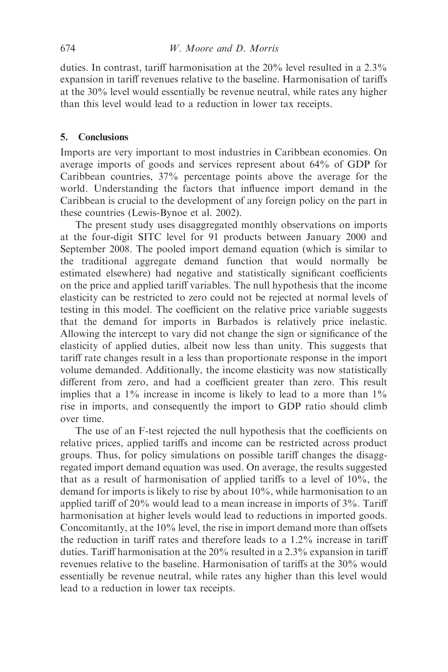duties. In contrast, tariff harmonisation at the 20% level resulted in a 2.3% expansion in tariff revenues relative to the baseline. Harmonisation of tariffs at the 30% level would essentially be revenue neutral, while rates any higher than this level would lead to a reduction in lower tax receipts.

## 5. Conclusions

Imports are very important to most industries in Caribbean economies. On average imports of goods and services represent about 64% of GDP for Caribbean countries, 37% percentage points above the average for the world. Understanding the factors that influence import demand in the Caribbean is crucial to the development of any foreign policy on the part in these countries (Lewis-Bynoe et al. 2002).

The present study uses disaggregated monthly observations on imports at the four-digit SITC level for 91 products between January 2000 and September 2008. The pooled import demand equation (which is similar to the traditional aggregate demand function that would normally be estimated elsewhere) had negative and statistically significant coefficients on the price and applied tariff variables. The null hypothesis that the income elasticity can be restricted to zero could not be rejected at normal levels of testing in this model. The coefficient on the relative price variable suggests that the demand for imports in Barbados is relatively price inelastic. Allowing the intercept to vary did not change the sign or significance of the elasticity of applied duties, albeit now less than unity. This suggests that tariff rate changes result in a less than proportionate response in the import volume demanded. Additionally, the income elasticity was now statistically different from zero, and had a coefficient greater than zero. This result implies that a  $1\%$  increase in income is likely to lead to a more than  $1\%$ rise in imports, and consequently the import to GDP ratio should climb over time.

The use of an F-test rejected the null hypothesis that the coefficients on relative prices, applied tariffs and income can be restricted across product groups. Thus, for policy simulations on possible tariff changes the disaggregated import demand equation was used. On average, the results suggested that as a result of harmonisation of applied tariffs to a level of 10%, the demand for imports is likely to rise by about 10%, while harmonisation to an applied tariff of 20% would lead to a mean increase in imports of 3%. Tariff harmonisation at higher levels would lead to reductions in imported goods. Concomitantly, at the 10% level, the rise in import demand more than offsets the reduction in tariff rates and therefore leads to a 1.2% increase in tariff duties. Tariff harmonisation at the 20% resulted in a 2.3% expansion in tariff revenues relative to the baseline. Harmonisation of tariffs at the 30% would essentially be revenue neutral, while rates any higher than this level would lead to a reduction in lower tax receipts.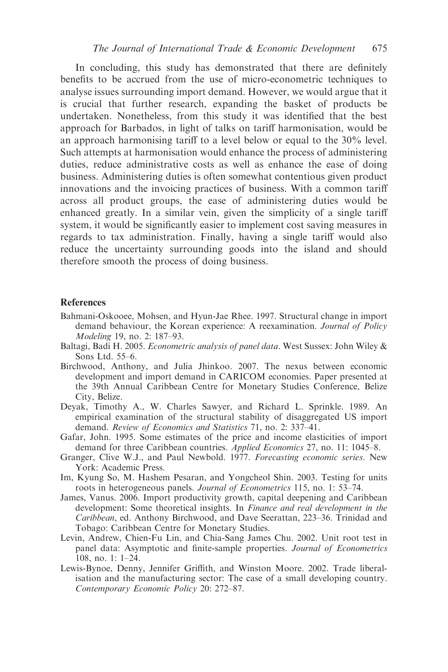In concluding, this study has demonstrated that there are definitely benefits to be accrued from the use of micro-econometric techniques to analyse issues surrounding import demand. However, we would argue that it is crucial that further research, expanding the basket of products be undertaken. Nonetheless, from this study it was identified that the best approach for Barbados, in light of talks on tariff harmonisation, would be an approach harmonising tariff to a level below or equal to the 30% level. Such attempts at harmonisation would enhance the process of administering duties, reduce administrative costs as well as enhance the ease of doing business. Administering duties is often somewhat contentious given product innovations and the invoicing practices of business. With a common tariff across all product groups, the ease of administering duties would be enhanced greatly. In a similar vein, given the simplicity of a single tariff system, it would be significantly easier to implement cost saving measures in regards to tax administration. Finally, having a single tariff would also reduce the uncertainty surrounding goods into the island and should therefore smooth the process of doing business.

#### References

- Bahmani-Oskooee, Mohsen, and Hyun-Jae Rhee. 1997. Structural change in import demand behaviour, the Korean experience: A reexamination. Journal of Policy Modeling 19, no. 2: 187–93.
- Baltagi, Badi H. 2005. Econometric analysis of panel data. West Sussex: John Wiley & Sons Ltd. 55–6.
- Birchwood, Anthony, and Julia Jhinkoo. 2007. The nexus between economic development and import demand in CARICOM economies. Paper presented at the 39th Annual Caribbean Centre for Monetary Studies Conference, Belize City, Belize.
- Deyak, Timothy A., W. Charles Sawyer, and Richard L. Sprinkle. 1989. An empirical examination of the structural stability of disaggregated US import demand. Review of Economics and Statistics 71, no. 2: 337–41.
- Gafar, John. 1995. Some estimates of the price and income elasticities of import demand for three Caribbean countries. Applied Economics 27, no. 11: 1045–8.
- Granger, Clive W.J., and Paul Newbold. 1977. Forecasting economic series. New York: Academic Press.
- Im, Kyung So, M. Hashem Pesaran, and Yongcheol Shin. 2003. Testing for units roots in heterogeneous panels. Journal of Econometrics 115, no. 1: 53–74.
- James, Vanus. 2006. Import productivity growth, capital deepening and Caribbean development: Some theoretical insights. In Finance and real development in the Caribbean, ed. Anthony Birchwood, and Dave Seerattan, 223–36. Trinidad and Tobago: Caribbean Centre for Monetary Studies.
- Levin, Andrew, Chien-Fu Lin, and Chia-Sang James Chu. 2002. Unit root test in panel data: Asymptotic and finite-sample properties. Journal of Econometrics 108, no. 1: 1–24.
- Lewis-Bynoe, Denny, Jennifer Griffith, and Winston Moore. 2002. Trade liberalisation and the manufacturing sector: The case of a small developing country. Contemporary Economic Policy 20: 272–87.